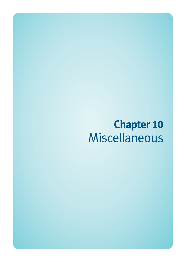# **Chapter 10**  Miscellaneous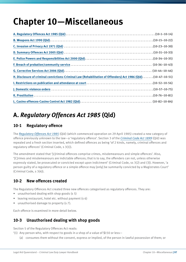# **Chapter 10—Miscellaneous**

| H. Disclosure of criminal convictions-Criminal Law (Rehabilitation of Offenders) Act 1986 (Qld)(10-47-10-51) |  |
|--------------------------------------------------------------------------------------------------------------|--|
|                                                                                                              |  |
|                                                                                                              |  |
|                                                                                                              |  |
|                                                                                                              |  |

# **A.** *Regulatory Offences Act 1985* **(Qld)**

### **10-1 Regulatory offence**

The *[Regulatory Offences Act 1985](http://www.legislation.qld.gov.au/LEGISLTN/CURRENT/R/RegulatOffA85.pdf)* (Qld) (which commenced operation on 29 April 1985) created a new category of offence previously unknown to the law—a 'regulatory offence'. Section 3 of the *[Criminal Code Act 1899](http://www.legislation.qld.gov.au/LEGISLTN/CURRENT/C/CriminCode.pdf)* (Qld) was repealed and a fresh section inserted, which defined offences as being 'of 2 kinds, namely, criminal offences and regulatory offences' (Criminal Code, s 3(1)).

The amendment stated that '[c]riminal offences comprise crimes, misdemeanours and simple offences'. Also, '[C]rimes and misdemeanours are indictable offences; that is to say, the offenders can not, unless otherwise expressly stated, be prosecuted or convicted except upon indictment' (Criminal Code, ss 3(2) and (3)). However, 'a person guilty of a regulatory offence or a simple offence may [only] be summarily convicted by a Magistrates Court' (Criminal Code, s 3(4)).

### **10-2 New offences created**

The Regulatory Offences Act created three new offences categorised as regulatory offences. They are:

- unauthorised dealing with shop goods (s 5)
- leaving restaurant, hotel etc. without payment (s 6)
- unauthorised damage to property (s 7).

Each offence is examined in more detail below.

### **10-3 Unauthorised dealing with shop goods**

Section 5 of the Regulatory Offences Act reads:

- '(1) Any person who, with respect to goods in a shop of a value of \$150 or less—
	- (a) consumes them without the consent, express or implied, of the person in lawful possession of them; or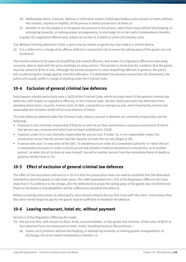- (b) deliberately alters, removes, defaces or otherwise renders indistinguishable a price shown on them, without the consent, express or implied, of the person in lawful possession of them; or
- (c) whether or not the property in the goods has passed to the person, takes them away without discharging, or attempting honestly, or making proper arrangements, to discharge his or her lawful indebtedness therefor; is guilty of a regulatory offence and, subject to section 9, is liable to a fine of 6 penalty units.
- (1a) Without limiting subsection (1)(b), a price may be shown on goods by a bar code or a similar device.
- (2) It is a defence to a charge of an offence defined in subsection  $1(c)$  to prove the taking away of the goods was not dishonest'.

This section relates to all types of shoplifting and related offences, and makes it a regulatory offence to take away, consume, alter or deal with the price markings on shop articles. The section is limited by the condition that the goods must be valued at \$150 or less. Although the section purports to cover shoplifting offences in general, the police will usually bring the charge against only first offenders. If a defendant has previous convictions for dishonesty, the police will usually prefer a charge of stealing under the Criminal Code.

#### **10-4 Exclusion of general criminal law defences**

Duty lawyers should particularly note s 36(2) of the Criminal Code, which excludes most of the general criminal law defences, with respect to regulatory offences, in the Criminal Code. Section 36(2) precludes the defendant from pleading intoxication, insanity, honest claim of right, extraordinary emergency and, most importantly, honest and reasonable but mistaken belief of fact and absence of intent.

The only defences allowed under the Criminal Code, where a person is deemed not criminally responsible, are the following:

- A person is not criminally responsible if they do or omit an act that contravenes a statutory instrument of which that person was unaware and which had not been published (s 22(3)).
- A person under 10 is not criminally responsible for any act and, if under 14, is not responsible unless the prosecution prove that the person had the capacity to know the act was illegal (s 29).
- A person who acts 'in execution of the law', 'in obedience to an order of a competent authority' or 'when the act is reasonably necessary in order to resist actual and unlawful violence threatened to the person, or to another person', or when the act is done to save himself, herself or another person from the immediate threat of death or grievous bodily harm (s 31).

#### **10-5 Effect of exclusion of general criminal law defences**

The effect of the exclusions referred to in 10-4 is that the prosecution does not need to establish that the defendant intended to steal the goods or take them away. The 1989 amendment to s 5(2) of the Regulatory Offences Act does state that it 'is a defence to the charge...[for the defendant] to prove the taking away of the goods was not dishonest'. Proof on the balance of probabilities will be sufficient to establish the defence.

Before accepting instructions to plead guilty, duty lawyers should discuss this issue with the client. Instructions that the client merely forgot to pay for the goods may be sufficient to establish the defence.

#### **10-6 Leaving restaurant, hotel etc. without payment**

Section 6 of the Regulatory Offences Act reads:

- '(1) Any person who, with respect to food, drink, accommodation, or like goods and services, of the value of \$150 or less obtained from any restaurant or hotel, motel, boarding house or like premises—
	- (a) leaves such premises without discharging, or attempting honestly, or making proper arrangements, to discharge, his or her lawful indebtedness therefor; or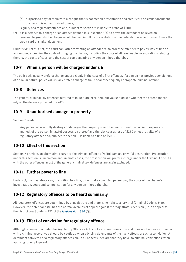(b) purports to pay for them with a cheque that is not met on presentation or a credit card or similar document the person is not authorised to use;

is guilty of a regulatory offence and, subject to section 9, is liable to a fine of \$300.

(2) It is a defence to a charge of an offence defined in subsection 1(b) to prove the defendant believed on reasonable grounds the cheque would be paid in full on presentation or the defendant was authorised to use the credit card or similar document'.

Under s 9(1) of this Act, the court can, after convicting an offender, 'also order the offender to pay by way of fine an amount not exceeding the costs of bringing the charge, including the costs of all reasonable investigations relating thereto, the costs of court and the cost of compensating any person injured thereby'.

#### **10-7 When a person will be charged under s 6**

The police will usually prefer a charge under s 6 only in the case of a first offender. If a person has previous convictions of a similar nature, police will usually prefer a charge of fraud or another equally appropriate criminal offence.

### **10-8 Defences**

The general criminal law defences referred to in 10-5 are excluded, but you should see whether the defendant can rely on the defence provided in s 6(2).

#### **10-9 Unauthorised damage to property**

Section 7 reads:

'Any person who wilfully destroys or damages the property of another and without the consent, express or implied, of the person in lawful possession thereof and thereby causes loss of \$250 or less is guilty of a regulatory offence and, subject to section 9, is liable to a fine of \$500'.

#### **10-10 Effect of this section**

Section 7 provides an alternative charge to the criminal offence of wilful damage or wilful destruction. Prosecution under this section is uncommon and, in most cases, the prosecution will prefer a charge under the Criminal Code. As with the other offences, most of the general criminal law defences are again excluded.

#### **10-11 Further power to fine**

Under s 9, the magistrate can, in addition to a fine, order that a convicted person pay the costs of the charge's investigation, court and compensation for any person injured thereby.

#### **10-12 Regulatory offences to be heard summarily**

All regulatory offences are determined by a magistrate and there is no right to a jury trial (Criminal Code, s 3(4)). However, the defendant still has the normal avenues of appeal against the magistrate's decision (i.e. an appeal to the district court under s 222 of the *[Justices Act 1886](http://www.legislation.qld.gov.au/LEGISLTN/CURRENT/J/JusticeA1886.pdf)* (Qld)).

### **10-13 Effect of conviction for regulatory offence**

Although a conviction under the Regulatory Offences Act is not a criminal conviction and does not burden an offender with a criminal record, you should be cautious when advising defendants of the likely effects of such a conviction. A defendant convicted of a regulatory offence can, in all honesty, declare that they have no criminal convictions when applying for employment.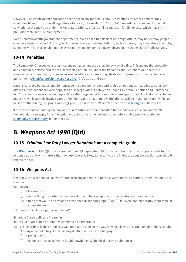However, if an employment application asks specifically for details about convictions for other offences, they would be obliged to include all regulatory offences (but see also 10-46 to 10-50 regarding disclosure of criminal convictions). A conviction under the Regulatory Offences Act is still a conviction for dishonesty, which may still prejudice them in future employment.

Some Commonwealth government departments, such as the Department of Foreign Affairs, may not employ people who have been convicted of this type of offence. Some private institutions, such as banks, may also refuse to employ someone with such a conviction. It may even prevent someone being employed in the Queensland Public Service.

### **10-14 Penalties**

The Regulatory Offences Act states that any penalties imposed shall be by way of a fine. This means that probation and community service orders are a sentencing option, as, under the Penalties and Sentences Act, these are now available for regulatory offences as well as offences where a magistrate can impose a custodial sentence as punishment (*[Penalties and Sentences Act 1992](http://www.legislation.qld.gov.au/LEGISLTN/CURRENT/P/PenaltASenA92.pdf)* (Qld), ss 91 and 101).

Under s 31 of the Penalties and Sentences Act, a good behaviour bond is also an option, as it applies to summary offences. A defendant can also apply for a discharge without conviction under s 19 of the Penalties and Sentences Act. You should always consider requesting a discharge under this section where appropriate. For instance, a charge under s 5 will invariably involve goods of minimal value and, arguably, the offence will be trivial, particularly if it can be shown that taking the goods was negligent. (For more on s 19, see the section on discharge in Chapter 13).

If the defendant cannot pay the fine and/or restitution and compensation (imposed by way of a fine under s 9), the defendant can apply for a fine option order to convert the fine into community service (see the section on community service orders in Chapter 13).

# **B.** *Weapons Act 1990* **(Qld)**

### **10-15** *Criminal Law Duty Lawyer Handbook* **not a complete guide**

The *[Weapons Act 1990](http://www.legislation.qld.gov.au/LEGISLTN/CURRENT/W/WeaponsA90.pdf)* (Qld) was assented to on 19 September 1990. This handbook is not a complete guide to this Act but deals only with matters that the duty lawyer is likely to face. If you are in doubt about any section, you should refer to the Act.

### **10-16 Weapons Act**

Generally, the Weapons Act allows for the licensing of people to possess weapons and firearms. Under Schedule 2, a weapon:

- '(a) means—
	- (i) a firearm; or
	- (ii) another thing prescribed under a regulation to be a weapon or within a category of weapon; or
	- (iii) a thing that would be a weapon mentioned in subparagraph (i) or (ii), if it were not temporarily inoperable or incomplete; and
- (b) does not include a public monument'.

Schedule 2 also defines a firearm as:

- '(a) a gun or other thing ordinarily described as a firearm; or
- (b) a thing ordinarily described as a weapon that, if used in the way for which it was designed or adapted, is capable of being aimed at a target and causing death or injury by discharging—
	- (i) a projectile; or
	- (ii) noxious, corrosive or irritant liquid, powder, gas, chemical or other substance; or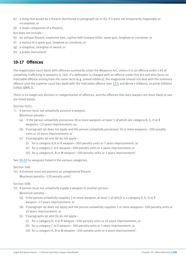- (c) a thing that would be a firearm mentioned in paragraph (a) or (b), if it were not temporarily inoperable or incomplete; or
- (d) a major component of a firearm;

but does not include—

- (e) an antique firearm, explosive tool, captive bolt humane killer, spear gun, longbow or crossbow; or
- (f) a replica of a spear gun, longbow or crossbow; or
- (g) a slingshot, shanghai or sword; or
- (h) a public monument'.

### **10-17 Offences**

The magistrates court deals with offences summarily under the Weapons Act, unless it is an offence under s 65 of unlawfully trafficking in weapons (s 161). If a defendant is charged with an offence under this Act and also faces an indictable offence arising from the same facts (e.g. armed robbery), the magistrate should not deal with the summary offence until the superior court has dealt with the indictable offence (see 12-5 and *Byrne v Gibbons; ex parte Gibbons* (1966) QWN 2).

There is no longer any division or categorisation of offences, and the offences that duty lawyers are more likely to see are listed below.

Section 50(1):

'1. A person must not unlawfully possess a weapon.

Maximum penalty—

- (a) if the person unlawfully possesses 10 or more weapons at least 5 of which are category D, E, H or R weapons—13 years imprisonment; or;
- (b) if paragraph (a) does not apply and the person unlawfully possesses 10 or more weapons—500 penalty units or 10 years imprisonment; or
- (c) if paragraphs (a) and (b) do not apply-
	- (i) for a category D,H or R weapon—300 penalty units or 7 years imprisonment; or
	- (ii) for a category C or E weapon—200 penalty units or 4 years imprisonment; or
	- (iii) for a category A, B or M weapon—100 penalty units or 2 years imprisonment'.

See 10-22 for weapons listed in the various categories.

#### Section 50A:

'(1) A licensee must not possess an unregistered firearm. Maximum penalty—120 penalty units'.

#### Section 50B:

'(1) A person must not unlawfully supply a weapon to another person.

Maximum penalty—

- (a) if the person unlawfully supplies 5 or more weapons at least 1 of which is a category D, E, H or R weapon—13 years imprisonment; or
- (b) if paragraph (a) does not apply and the person unlawfully supplies 5 or more weapons—500 penalty units or 10 years imprisonment; or
- (c) if paragraphs (a) and (b) do not apply-
	- (i) for a category D, H or R weapon—500 penalty units or 10 years imprisonment; or
	- (ii) for a category C or E weapon—300 penalty units or 7 years imprisonment; or
	- (iii) for a category A, B or M weapon—200 penalty units or 4 years imprisonment'.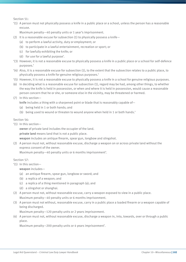Section 51:

'(1) A person must not physically possess a knife in a public place or a school, unless the person has a reasonable excuse.

Maximum penalty—40 penalty units or 1 year's imprisonment.

- (2) It is a reasonable excuse for subsection (1) to physically possess a knife-
	- (a) to perform a lawful activity, duty or employment; or
	- (b) to participate in a lawful entertainment, recreation or sport; or
	- (c) for lawfully exhibiting the knife; or
	- (d) for use for a lawful purpose'.
- '(3) However, it is not a reasonable excuse to physically possess a knife in a public place or a school for self-defence purposes.'
- '(4) Also, it is a reasonable excuse for subsection (1), to the extent that the subsection relates to a public place, to physically possess a knife for genuine religious purposes.'
- '(5) However, it is not a reasonable excuse to physically possess a knife in a school for genuine religious purposes.
- (6) In deciding what is a reasonable excuse for subsection (1), regard may be had, among other things, to whether the way the knife is held in possession, or when and where it is held in possession, would cause a reasonable person concern that he or she, or someone else in the vicinity, may be threatened or harmed.
- (7) In this section—

knife includes a thing with a sharpened point or blade that is reasonably capable of—

- (a) being held in 1 or both hands; and
- (b) being used to wound or threaten to wound anyone when held in 1 or both hands.'

Section 56:

'(1) In this section—

owner of private land includes the occupier of the land.

private land means land that is not a public place.

weapon includes an antique firearm, spear gun, longbow and slingshot.

(2) A person must not, without reasonable excuse, discharge a weapon on or across private land without the express consent of the owner.

Maximum penalty—40 penalty units or 6 months imprisonment'.

Section 57:

'(1) In this section—

weapon includes—

(a) an antique firearm, spear gun, longbow or sword; and

- (b) a replica of a weapon; and
- (c) a replica of a thing mentioned in paragraph (a); and
- (d) a slingshot or shanghai.
- (2) A person must not, without reasonable excuse, carry a weapon exposed to view in a public place. Maximum penalty—40 penalty units or 6 months imprisonment.
- (3) A person must not without, reasonable excuse, carry in a public place a loaded firearm or a weapon capable of being discharged.

Maximum penalty—120 penalty units or 2 years imprisonment.

(4) A person must not, without reasonable excuse, discharge a weapon in, into, towards, over or through a public place.

Maximum penalty—200 penalty units or 4 years imprisonment'.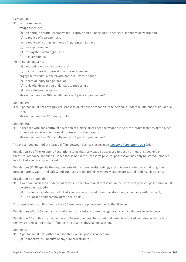Section 58:

'(1) In this section—

weapon includes:

- (a) an antique firearm, explosive tool, captive bolt humane killer, spear gun, longbow, or sword; and
- (b) a replica of a weapon; and
- (c) a replica of a thing mentioned in paragraph (a); and
- (d) an explosive; and,
- (e) a slingshot or shanghai; and
- (f) a laser pointer.
- (2) A person must not—
	- (a) without reasonable excuse; and
	- (b) by the physical possession or use of a weapon;
	- engage in conduct, alone or with another, likely to cause—
	- (c) death or injury to a person; or
	- (d) unlawful destruction or damage to property; or
	- (e) alarm to another person.

Maximum penalty—200 penalty units or 4 years imprisonment'.

Section 59:

'(2) A person must not have physical possession of or use a weapon if the person is under the influence of liquor or a drug.

Maximum penalty—40 penalty units'.

Section 60:

'(1) A licensee who has control of a weapon at a place must keep the weapon in secure storage facilities at the place when a person is not in physical possession of the weapon.

Maximum penalty—100 penalty units or 2 years imprisonment'.

The prescribed method of storage differs between licence classes (see *[Weapons Regulation 1996](http://www.legislation.qld.gov.au/LEGISLTN/CURRENT/W/WeaponsR96.pdf)* (Qld)).

Regulation 30 of the Weapons Regulation states that '[a] weapon possessed under an armourer's, dealer's or theatrical ordnance supplier's licence that is not in the licensee's physical possession may only be stored unloaded in a locked gun rack, safe or vault.

Regulations 31-38 specify the requirements of the floors, walls, ceiling, external doors, window and door grilles, burglar alarms, vaults and safes, and gun racks of the premises where weapons are stored under such a licence.

Regulation 39 states that:

- '(1) A weapon possessed under a collector's licence (weapons) that is not in the licensee's physical possession must be stored unloaded—
	- (a) in a locked container, or locked gun rack, in a locked room (the storeroom) complying with this part; or
	- (b) in a locked vault complying with this part'.

This requirement applies if more than 30 weapons are possessed under that licence.

Regulations 40 to 43 specify the requirements of vaults, storerooms, gun racks and containers in such cases.

Regulation 60 applies in all other cases. The weapon must be stored 'unloaded in a locked container with the bolt removed or the action broken' if not in the person's physical possession.

Section 67:

- '(1) A person must not, without reasonable excuse, possess or acquire:
	- (a) handcuffs, thumbcuffs or any similar restraints;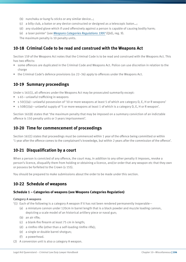- (b) nunchaku or kung fu sticks or any similar device…;
- (c) a billy club, a baton or any device constructed or designed as a telescopic baton…;
- (d) any studded glove which if used offensively against a person is capable of causing bodily harm;
- (e) a laser pointer' (see *[Weapons Categories Regulations 1997](http://www.legislation.qld.gov.au/LEGISLTN/CURRENT/W/WeaponsCatR97.pdf)* (Qld), reg. 9).

The maximum penalty is 10 penalty units.

#### **10-18 Criminal Code to be read and construed with the Weapons Act**

Section 159 of the Weapons Act notes that the Criminal Code is to be read and construed with the Weapons Act. This has two effects:

- some offences are duplicated in the Criminal Code and Weapons Act. Police can use discretion in relation to the charge
- the Criminal Code's defence provisions (ss 22–36) apply to offences under the Weapons Act.

#### **10-19 Summary proceedings**

Under s 161(1), all offences under the Weapons Act may be prosecuted summarily except:

- s 65—unlawful trafficking in weapons
- s 50(1)(a)—unlawful possession of '10 or more weapons at least 5 of which are category D, E, H or R weapons'
- s 50B(1)(a)—unlawful supply of '5 or more weapons at least 1 of which is a category D, E, H or R weapon'.

Section 161(8) states that 'the maximum penalty that may be imposed on a summary conviction of an indictable offence is 150 penalty units or 3 years imprisonment'.

#### **10-20 Time for commencement of proceedings**

Section 161(1) states that proceedings must be commenced within 1 year of the offence being committed or within '1 year after the offence comes to the complainant's knowledge, but within 2 years after the commission of the offence'.

#### **10-21 Disqualification by a court**

When a person is convicted of any offence, the court may, in addition to any other penalty it imposes, revoke a person's licence, disqualify them from holding or obtaining a licence, and/or order that any weapon etc that they own or possess be forfeited to the Crown (s 155).

You should be prepared to make submissions about the order to be made under this section.

#### **10-22 Schedule of weapons**

#### **Schedule 1 – Categories of weapons (see Weapons Categories Regulation)**

#### **Category A weapons**

- '(1) Each of the following is a category A weapon if it has not been rendered permanently inoperable—
	- (a) a miniature cannon under 120cm in barrel length that is a black powder and muzzle loading cannon, depicting a scale model of an historical artillery piece or naval gun;
	- (b) an air rifle;
	- (c) a blank-fire firearm at least 75 cm in length;
	- (d) a rimfire rifle (other than a self-loading rimfire rifle);
	- (e) a single or double barrel shotgun;
	- (f) a powerhead.
- (2) A conversion unit is also a category A weapon.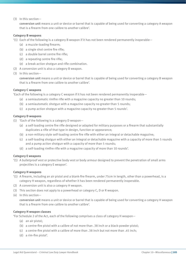(3) In this section—

conversion unit means a unit or device or barrel that is capable of being used for converting a category A weapon that is a firearm from one calibre to another calibre'.

#### **Category B weapons**

- '(1) Each of the following is a category B weapon if it has not been rendered permanently inoperable—
	- (a) a muzzle-loading firearm;
	- (b) a single shot centre fire rifle;
	- (c) a double barrel centre fire rifle;
	- (d) a repeating centre fire rifle;
	- (e) a break action shotgun and rifle combination.
- (2) A conversion unit is also a category B weapon.
- (3) In this section—

conversion unit means a unit or device or barrel that is capable of being used for converting a category B weapon that is a firearm from one calibre to another calibre'.

#### **Category C weapons**

'Each of the following is a category C weapon if it has not been rendered permanently inoperable—

- (a) a semiautomatic rimfire rifle with a magazine capacity no greater than 10 rounds;
- (b) a semiautomatic shotgun with a magazine capacity no greater than 5 rounds;
- (c) a pump action shotgun with a magazine capacity no greater than 5 rounds'.

#### **Category D weapons**

- (1) 'Each of the following is a category D weapon—
	- (a) a self-loading centre fire rifle designed or adapted for military purposes or a firearm that substantially duplicates a rifle of that type in design, function or appearance;
	- (b) a non-military style self-loading centre fire rifle with either an integral or detachable magazine;
	- (c) a self-loading shotgun with either an integral or detachable magazine with a capacity of more than 5 rounds and a pump action shotgun with a capacity of more than 5 rounds;
	- (d) a self-loading rimfire rifle with a magazine capacity of more than 10 rounds'.

#### **Category E weapons**

'(1) A bulletproof vest or protective body vest or body armour designed to prevent the penetration of small arms projectiles is a category E weapon'.

#### **Category H weapons**

- '(1) A firearm, including an air pistol and a blank-fire firearm, under 75cm in length, other than a powerhead, is a category H weapon, regardless of whether it has been rendered permanently inoperable.
- (2) A conversion unit is also a category H weapon.
- (3) This section does not apply to a powerhead or category C, D or R weapon.
- (4) In this section—

conversion unit means a unit or device or barrel that is capable of being used for converting a category H weapon that is a firearm from one calibre to another calibre'.

#### **Category H weapon classes**

'For Schedule 2 of the Act, each of the following comprises a class of category H weapon—

- (a) an air pistol;
- (b) a centre-fire pistol with a calibre of not more than .38 inch or a black-powder pistol;
- (c) a centre-fire pistol with a calibre of more than .38 inch but not more than .45 inch;
- (d) a rim-fire pistol'.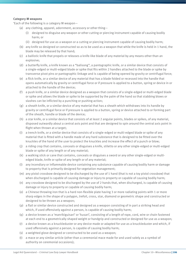#### **Category M weapons**

'Each of the following is a category M weapon—

- (a) any clothing, apparel, adornment, accessory or other thing—
	- (i) designed to disguise any weapon or other cutting or piercing instrument capable of causing bodily harm; or
	- (ii) designed for use as a weapon or a cutting or piercing instrument capable of causing bodily harm;
- (b) any knife so designed or constructed so as to be used as a weapon that while the knife is held in 1 hand, the blade may be released by that hand;
- (c) a ballistic knife that propels or releases a knife-like blade of any material by any means other than an explosive;
- (d) a butterfly knife, a knife known as a "balisong", a pantographic knife, or a similar device that consists of a single-edged or multi-edged blade or spike that fits within 2 handles attached to the blade or spike by transverse pivot pins or pantographic linkage and is capable of being opened by gravity or centrifugal force;
- (e) a flick knife, or a similar device of any material that has a blade folded or recessed into the handle that opens automatically by gravity or centrifugal force or if pressure is applied to a button, spring or device in or attached to the handle of the device;
- (f) a push knife, or a similar device designed as a weapon that consists of a single-edged or multi-edged blade or spike and allows the blade or spike to be supported by the palm of the hand so that stabbing blows or slashes can be inflicted by a punching or pushing action;
- (g) a sheath knife, or a similar device of any material that has a sheath which withdraws into its handle by gravity or centrifugal force or if pressure is applied to a button, spring or device attached to or forming part of the sheath, handle or blade of the device;
- (h) a star knife, or a similar device that consists of at least 2 angular points, blades or spikes, of any material, disposed outwardly about a central axis point and that are designed to spin around the central axis point in flight when thrown at a target;
- (i) a trench knife, or a similar device that consists of a single-edged or multi-edged blade or spike of any material that is fitted with a handle made of any hard substance that is designed to be fitted over the knuckles of the hand of the user to protect the knuckles and increase the effect of a punch or blow;
- (j) a riding crop that contains, conceals or disguises a knife, stiletto or any other single-edged or multi-edged blade or spike of any length or of any material;
- (k) a walking stick or cane that contains, conceals or disguises a sword or any other single-edged or multiedged blade, knife or spike of any length or of any material;
- (l) any incendiary or inflammable device containing any substance capable of causing bodily harm or damage to property that is primarily designed for vegetation management;
- (m) any pistol crossbow designed to be discharged by the use of 1 hand (that is not a toy pistol crossbow) that when discharged is capable of causing damage or injury to property or capable of causing bodily harm;
- (n) any crossbow designed to be discharged by the use of 2 hands that, when discharged, is capable of causing damage or injury to property or capable of causing bodily harm;
- (o) a Chinese throwing iron that is a hard non-flexible plate having 3 or more radiating points with 1 or more sharp edges in the shape of a polygon, trefoil, cross, star, diamond or geometric shape and constructed or designed to be thrown as a weapon;
- (p) a flail or similar device constructed and designed as a weapon consisting of in part a striking head and which, if used offensively against a person, is capable of causing bodily harm;
- (q) a device known as a 'manrikiguisari' or 'kusari', consisting of a length of rope, cord, wire or chain fastened at each end to a geometrically shaped weight or handgrip and constructed or designed for use as a weapon;
- (r) a device known as a knuckleduster or any device made or adapted for use as a knuckleduster and which, if used offensively against a person, is capable of causing bodily harm;
- (s) a weighted glove designed or constructed to be used as a weapon;
- (t) a mace or any similar article (other than a ceremonial mace made for and used solely as a symbol of authority on ceremonial occasions);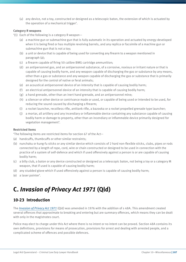(u) any device, not a toy, constructed or designed as a telescopic baton, the extension of which is actuated by the operation of a mechanical trigger'.

#### **Category R weapons**

- '(1) Each of the following is a category R weapon—
	- (a) a machine gun or submachine gun that is fully automatic in its operation and actuated by energy developed when it is being fired or has multiple revolving barrels, and any replica or facsimile of a machine gun or submachine gun that is not a toy;
	- (b) a unit or device that is capable of being used for converting any firearm to a weapon mentioned in paragraph (a);
	- (c) a firearm capable of firing 50 calibre BMG cartridge ammunition;
	- (d) an antipersonnel gas, and an antipersonnel substance, of a corrosive, noxious or irritant nature or that is capable of causing bodily harm, and any weapon capable of discharging the gas or substance by any means, other than a gas or substance and any weapon capable of discharging the gas or substance that is primarily designed for the control of native or feral animals;
	- (e) an acoustical antipersonnel device of an intensity that is capable of causing bodily harm;
	- (f) an electrical antipersonnel device of an intensity that is capable of causing bodily harm;
	- (g) a hand grenade, other than an inert hand grenade, and an antipersonnel mine;
	- (h) a silencer or other device or contrivance made or used, or capable of being used or intended to be used, for reducing the sound caused by discharging a firearm;
	- (i) a rocket launcher, recoilless rifle, antitank rifle, a bazooka or a rocket propelled grenade type launcher;
	- (j) a mortar, all artillery and any incendiary or inflammable device containing any substance capable of causing bodily harm or damage to property, other than an incendiary or inflammable device primarily designed for vegetation management'.

#### **Restricted items**

'The following items are restricted items for section 67 of the Act—

- (a) handcuffs, thumbcuffs or other similar restraints;
- (b) nunchaku or kung-fu sticks or any similar device which consists of 2 hard non-flexible sticks, clubs, pipes or rods connected by a length of rope, cord, wire or chain constructed or designed to be used in connection with the practice of a system of self-defence and which if used offensively against a person is or are capable of causing bodily harm;
- (c) a billy club, a baton or any device constructed or designed as a telescopic baton, not being a toy or a category M weapon, that if used is capable of causing bodily harm;
- (d) any studded glove which if used offensively against a person is capable of causing bodily harm;
- (e) a laser pointer'.

# **C.** *Invasion of Privacy Act 1971* **(Qld)**

#### **10-23 Introduction**

The *[Invasion of Privacy Act 1971](http://www.legislation.qld.gov.au/LEGISLTN/CURRENT/I/InvasOfPrivA71.pdf)* (Qld) was amended in 1976 with the addition of s 48A. This amendment created several offences that approximate to breaking and entering but are summary offences, which means they can be dealt with only in the magistrates court.

Police may elect to charge under this Act where there is no intent or no intent can be proved. Section 48A contains its own definitions, provisions for means of prosecution, provisions for arrest and dealing with arrested people, and a complicated scheme of offences and possible defences.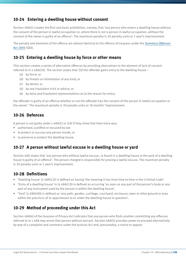### **10-24 Entering a dwelling house without consent**

Section 48A(1) creates the first and basic prohibition, namely, that 'any person who enters a dwelling house without the consent of the person in lawful occupation or, where there is not a person in lawful occupation, without the consent of the owner is guilty of an offence'. The maximum penalty is 20 penalty units or 1 year's imprisonment.

The penalty and elements of the offence are almost identical to the offence of trespass under the *[Summary Offences](http://www.legislation.qld.gov.au/LEGISLTN/CURRENT/S/SumOffA05.pdf)  [Act 2005](http://www.legislation.qld.gov.au/LEGISLTN/CURRENT/S/SumOffA05.pdf)* (Qld).

#### **10-25 Entering a dwelling house by force or other means**

This section creates a series of alternative offences by providing alternatives to the element of lack of consent referred to in s 48A(1A). The section states that '[i]f the offender gains entry to the dwelling house—

- (a) by force; or
- (b) by threats or intimidation of any kind; or
- (c) by deceit; or
- (d) by any fraudulent trick or advice; or
- (e) by false and fraudulent representations as to the reason for entry;

the offender is guilty of an offence whether or not the offender has the consent of the person in lawful occupation or the owner'. The maximum penalty is 30 penalty units or 18 months' imprisonment.

#### **10-26 Defences**

A person is not guilty under s 48A(1) or (1A) if they show that their entry was:

- authorised, justified or excused by law
- to protect or succour any person inside, or
- to preserve or protect the dwelling house.

#### **10-27 A person without lawful excuse in a dwelling house or yard**

Section 48A states that 'any person who without lawful excuse…is found in a dwelling house or the yard of a dwelling house is guilty of an offence'. The person charged is responsible for proving a lawful excuse. The maximum penalty is 20 penalty units or 1 year's imprisonment.

#### **10-28 Definitions**

- 'Dwelling house' (s 48A(12)) is defined as having 'the meaning it has from time to time in the Criminal Code'.
- 'Entry of a dwelling house' in (s 48A(13)) is defined as occurring 'as soon as any part of the person's body or any part of any instrument used by the person is within the dwelling house'.
- 'Yard' (s 48A(3A)) is defined as 'any path, garden, curtilage, courtyard, enclosure, lawn or other ground or area within the precincts of or appurtenant to or under the dwelling house in question'.

#### **10-29 Method of proceeding under this Act**

Section 48A(4) of the Invasion of Privacy Act indicates that any person who finds another committing any offences referred to in s 48A may arrest that person without warrant. Section 48A(5) provides power to proceed alternatively by way of a complaint and summons under the Justices Act and, presumably, a notice to appear.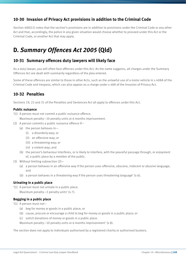### **10-30 Invasion of Privacy Act provisions in addition to the Criminal Code**

Section 48A(11) notes that the section's provisions are in addition to provisions under the Criminal Code or any other Act and that, accordingly, the police in any given situation would choose whether to proceed under this Act or the Criminal Code, or another Act that may apply.

# **D.** *Summary Offences Act 2005* **(Qld)**

#### **10-31 Summary offences duty lawyers will likely face**

As a duty lawyer, you will often face offences under this Act. As the name suggests, all charges under the Summary Offences Act are dealt with summarily regardless of the plea entered.

Some of these offences are similar to those in other Acts, such as the unlawful use of a motor vehicle in s 408A of the Criminal Code and trespass, which can also appear as a charge under s 48A of the Invasion of Privacy Act.

### **10-32 Penalties**

Sections 19, 22 and 31 of the Penalties and Sentences Act all apply to offences under this Act.

#### **Public nuisance**

- '(1) A person must not commit a public nuisance offence.
- Maximum penalty—10 penalty units or 6 months imprisonment.
- (2) A person commits a public nuisance offence if—
	- (a) the person behaves in—
		- (i) a disorderly way; or
		- (ii) an offensive way; or
		- (iii) a threatening way; or
		- (iv) a violent way; and
	- (b) the person's behaviour interferes, or is likely to interfere, with the peaceful passage through, or enjoyment of, a public place by a member of the public.
- (3) Without limiting subsection (2)—
	- (a) a person behaves in an offensive way if the person uses offensive, obscene, indecent or abusive language; and
	- (b) a person behaves in a threatening way if the person uses threatening language' (s 6).

#### **Urinating in a public place**

'(1) A person must not urinate in a public place. Maximum penalty—2 penalty units' (s 7).

#### **Begging in a public place**

'(1) A person must not—

- (a) beg for money or goods in a public place; or
- (b) cause, procure or encourage a child to beg for money or goods in a public place; or
- (c) solicit donations of money or goods in a public place.

Maximum penalty—10 penalty units or 6 months imprisonment' (s 8).

The section does not apply to individuals authorised by a registered charity or authorised buskers.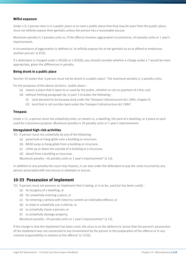#### **Wilful exposure**

Under s 9, a person who is in a public place or so near a public place that they may be seen from the public place, must not wilfully expose their genitals unless the person has a reasonable excuse.

Maximum penalty is 2 penalty units or, if the offence involves aggravated circumstance, 40 penalty units or 1 year's imprisonment.

A circumstance of aggravation is defined as 'to wilfully expose his or her genitals so as to offend or embarrass another person' (s 9(3)).

If a defendant is charged under s  $9(1)(b)$  or s  $9(2)(b)$ , you should consider whether a charge under s 7 would be more appropriate, given the differences in penalty.

#### **Being drunk in a public place**

Section 10 states that 'a person must not be drunk in a public place'. The maximum penalty is 2 penalty units.

For the purposes of the above sections, 'public place—

- (a) means a place that is open to or used by the public, whether or not on payment of a fee; and
- (b) without limiting paragraph (a), in part 3 includes the following—
	- (i) land declared to be busway land under the *Transport Infrastructure Act 1994*, chapter 9;
	- (ii) land that is rail corridor land under the *Transport Infrastructure Act 1994*'.

#### **Trespass**

Under s 11, a person must not unlawfully enter, or remain in, a dwelling, the yard of a dwelling, or a place or yard used for a business purpose. Maximum penalty is 20 penalty units or 1 year's imprisonment.

#### **Unregulated high-risk activities**

'(1) A person must not unlawfully do any of the following:

- (a) parachute or hang-glide onto a building or structure;
- (b) BASE-jump or hang-glide from a building or structure;
- (c) climb up or down the outside of a building or a structure;
- (d) abseil from a building or structure.

Maximum penalty—20 penalty units or 1 year's imprisonment' (s 14).

In addition to any penalty the court may impose, it can also order the defendant to pay the costs incurred by any person associated with any rescue or attempts to rescue.

#### **10-33 Possession of implement**

'(1) A person must not possess an implement that is being, or is to be, used [or has been used]—

- (a) for burglary of a dwelling; or
- (b) for unlawfully entering a place; or
- (c) for entering a vehicle with intent to commit an indictable offence; or
- (d) to steal or unlawfully use a vehicle; or
- (e) to unlawfully injure a person; or
- (f) to unlawfully damage property.

Maximum penalty—20 penalty units or 1 year's imprisonment' (s 15).

If the charge is that the implement has been used, the onus is on the defence to 'prove that the person's possession of the implement was not connected to any involvement by the person in the preparation of the offence or in any criminal responsibility in relation to the offence' (s 15(3)).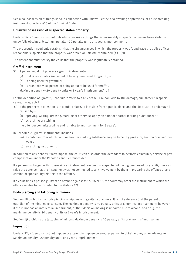See also 'possession of things used in connection with unlawful entry' of a dwelling or premises, or housebreaking instruments, under s 425 of the Criminal Code.

#### **Unlawful possession of suspected stolen property**

Under s 16, a 'person must not unlawfully possess a things that is reasonably suspected of having been stolen or unlawfully obtained. Maximum penalty—20 penalty units or 1 year's imprisonment'.

The prosecution need only establish that the circumstances in which the property was found gave the police officer reasonable suspicion that the property was stolen or unlawfully obtained (s 48(2)).

The defendant must satisfy the court that the property was legitimately obtained.

#### **Graffiti instrument**

- '(1) A person must not possess a graffiti instrument—
	- (a) that is reasonably suspected of having been used for graffiti; or
	- (b) is being used for graffiti; or
	- (c) is reasonably suspected of being about to be used for graffiti.

Maximum penalty—20 penalty units or 1 year's imprisonment' (s 7).

For the definition of 'graffiti', Schedule 2 refers to s 469 of the Criminal Code (wilful damage/punishment in special cases, paragraph 9):

- '(1) If the property in question is in a public place, or is visible from a public place, and the destruction or damage is caused by—
	- (a) spraying, writing, drawing, marking or otherwise applying paint or another marking substance; or
	- (b) scratching or etching;

the offender commits a crime and is liable to imprisonment for 5 years'.

In Schedule 2, 'graffiti instrument', includes—

- '(a) a container from which paint or another marking substance may be forced by pressure, suction or in another way; or
- (b) an etching instrument'.

In addition to any penalty it may impose, the court can also order the defendant to perform community service or pay compensation under the Penalties and Sentences Act.

If a person is charged with possessing an instrument reasonably suspected of having been used for graffiti, they can raise the defence that the instrument was not connected to any involvement by them in preparing the offence or any criminal responsibility relating to the offence.

If a court finds a person guilty of an offence against ss 15, 16 or 17, the court may order the instrument to which the offence relates to be forfeited to the state (s 47).

#### **Body piercing and tattooing of minors**

Section 18 prohibits the body piercing of nipples and genitalia of minors. It is not a defence that the parent or guardian of the minor gave consent. The maximum penalty is 40 penalty units or 6 months' imprisonment; however, if the minor has an intellectual impairment, or their decision making is impaired due to alcohol or a drug, the maximum penalty is 80 penalty units or 1 year's imprisonment.

Section 19 prohibits the tattooing of minors. Maximum penalty is 40 penalty units or 6 months' imprisonment.

#### **Imposition**

Under s 22, a 'person must not impose or attempt to impose on another person to obtain money or an advantage. Maximum penalty—20 penalty units or 1 year's imprisonment'.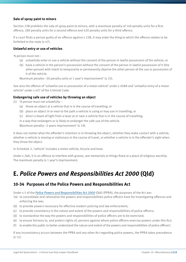#### **Sale of spray paint to minors**

Section 23B prohibits the sale of spray paint to minors, with a maximum penalty of 140 penalty units for a first offence, 280 penalty units for a second offence and 420 penalty units for a third offence.

If a court finds a person guilty of an offence against s 23B, it may order the thing to which the offence relates to be forfeited to the state (s 47).

#### **Unlawful entry or use of vehicles**

'A person must not—

- (a) unlawfully enter or use a vehicle without the consent of the person in lawful possession of the vehicle; or
- (b) have a vehicle in the person's possession without the consent of the person in lawful possession of it (the other person) with intent to temporarily or permanently deprive the other person of the use or possession of it of the vehicle.

Maximum penalty—20 penalty units or 1 year's imprisonment' (s 25).

See also the offence of 'unlawful use or possession of a motor vehicle' under s 408A and 'unlawful entry of a motor vehicle' under s 427 of the Criminal Code.

#### **Endangering safe use of vehicles by throwing an object**

- (1) 'A person must not unlawfully—
	- (a) throw an object at a vehicle that is in the course of travelling; or
	- (b) place an object in or near to the path a vehicle is using or may use in travelling; or
	- (c) direct a beam of light from a laser at or near a vehicle that is in the course of travelling;

in a way that endangers or is likely to endanger the safe use of the vehicle.

Maximum penalty—2 years imprisonment' (s 19).

It does not matter what the offender's intention is in throwing the object, whether they make contact with a vehicle, whether a vehicle is moving or stationary in the course of travel, or whether a vehicle is in the offender's sight when they throw the object.

In Schedule 2, 'vehicle' includes a motor vehicle, bicycle and boat.

Under s 26A, it is an offence to interfere with graves, war memorials or things fixed at a place of religious worship. The maximum penalty is 1 year's imprisonment.

## **E.** *Police Powers and Responsibilities Act 2000* **(Qld)**

#### **10-34 Purposes of the Police Powers and Responsibilities Act**

Under s 5 of the *[Police Powers and Responsibilities Act 2000](http://www.legislation.qld.gov.au/LEGISLTN/CURRENT/P/PolicePowResA00.pdf)* (Qld) (PPRA), the purposes of the Act are:

- '(a) to consolidate and rationalise the powers and responsibilities police officers have for investigating offences and enforcing the law;
- (b) to provide powers necessary for effective modern policing and law enforcement;
- (c) to provide consistency in the nature and extent of the powers and responsibilities of police officers;
- (d) to standardise the way the powers and responsibilities of police officers are to be exercised;
- (e) to ensure fairness to, and protect rights of, persons against whom police officers exercise powers under this Act;
- (f) to enable the public to better understand the nature and extent of the powers and responsibilities of police officers'.

If any inconsistency occurs between the PPRA and any other Act regarding police powers, the PPRA takes precedence (s 11).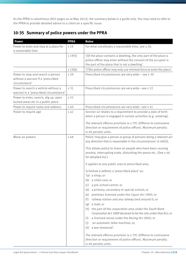As the PPRA is voluminous (852 pages as at May 2012), the summary below is a guide only. You may need to refer to the PPRA to provide detailed advice to a client on a specific issue.

### **10-35 Summary of police powers under the PPRA**

| <b>Power</b>                                                                             | <b>PPRA</b> | <b>Notes</b>                                                                                                                                                                                                                                                                                                                                                                                                                                                                                                                                                                                                                                                                                                                                                                                                                                                                                                                                                                                                                                                                                                      |
|------------------------------------------------------------------------------------------|-------------|-------------------------------------------------------------------------------------------------------------------------------------------------------------------------------------------------------------------------------------------------------------------------------------------------------------------------------------------------------------------------------------------------------------------------------------------------------------------------------------------------------------------------------------------------------------------------------------------------------------------------------------------------------------------------------------------------------------------------------------------------------------------------------------------------------------------------------------------------------------------------------------------------------------------------------------------------------------------------------------------------------------------------------------------------------------------------------------------------------------------|
| Power to enter and stay at a place for<br>a reasonable time                              | s 19        | For what constitutes a reasonable time, see s 20.                                                                                                                                                                                                                                                                                                                                                                                                                                                                                                                                                                                                                                                                                                                                                                                                                                                                                                                                                                                                                                                                 |
|                                                                                          | 519(5)      | '[I]f the place contains a dwelling, the only part of the place a<br>police officer may enter without the consent of the occupier is<br>the part of the place that is not a dwelling'.                                                                                                                                                                                                                                                                                                                                                                                                                                                                                                                                                                                                                                                                                                                                                                                                                                                                                                                            |
|                                                                                          | 519(6)      | '[T]he police officer may only use minimal force to enter the place'.                                                                                                                                                                                                                                                                                                                                                                                                                                                                                                                                                                                                                                                                                                                                                                                                                                                                                                                                                                                                                                             |
| Power to stop and search a person<br>without a warrant if a 'prescribed<br>circumstance' | s 29        | Prescribed circumstances are very wide-see s 30                                                                                                                                                                                                                                                                                                                                                                                                                                                                                                                                                                                                                                                                                                                                                                                                                                                                                                                                                                                                                                                                   |
| Power to search a vehicle without a<br>warrant in a 'prescribed circumstance'            | s 31        | Prescribed circumstances are very wide-see s 32                                                                                                                                                                                                                                                                                                                                                                                                                                                                                                                                                                                                                                                                                                                                                                                                                                                                                                                                                                                                                                                                   |
| Power to enter, search, dig up, open<br>locked areas etc in a public place               | s 33        |                                                                                                                                                                                                                                                                                                                                                                                                                                                                                                                                                                                                                                                                                                                                                                                                                                                                                                                                                                                                                                                                                                                   |
| Power to require name and address                                                        | s 40        | Prescribed circumstances are very wide-see s 41                                                                                                                                                                                                                                                                                                                                                                                                                                                                                                                                                                                                                                                                                                                                                                                                                                                                                                                                                                                                                                                                   |
| Power to require age                                                                     | s 42        | Section 42 relates to a requirement to provide a date of birth<br>when a person is engaged in certain activities (e.g. smoking).                                                                                                                                                                                                                                                                                                                                                                                                                                                                                                                                                                                                                                                                                                                                                                                                                                                                                                                                                                                  |
|                                                                                          |             | The relevant offence provision is s 791 (Offence to contravene<br>direction or requirement of police officer). Maximum penalty<br>is 40 penalty units.                                                                                                                                                                                                                                                                                                                                                                                                                                                                                                                                                                                                                                                                                                                                                                                                                                                                                                                                                            |
| Move-on powers                                                                           | s 48        | Police 'may give a person or group of persons doing a relevant act<br>any direction that is reasonable in the circumstances' (s 48(1)).<br>This allows police to move on people who have been causing<br>anxiety, interrupting trade, disturbing the peace etc. (See s 46<br>for detailed list.)<br>It applies to any public area or prescribed area.<br>Schedule 6 defines a 'prescribed place' as:<br>'(a) a shop; or<br>a child-care; or<br>(b)<br>a pre-school centre; or<br>(c)<br>a primary, secondary or special school; or<br>(d)<br>premises licensed under the Liquor Act 1992; or<br>(e)<br>railway station and any railway land around it; or<br>(f)<br>a mall; or<br>(g)<br>the part of the corporation area under the South Bank<br>(h)<br>Corporation Act 1989 declared to be the site under that Act; or<br>a licensed venue under the Racing Act 2002; or<br>(i)<br>an automatic teller machine; or,<br>(j)<br>a war memorial'.<br>(k)<br>The relevant offence provision is s 791 (Offence to contravene<br>direction or requirement of police officer). Maximum penalty<br>is 40 penalty units. |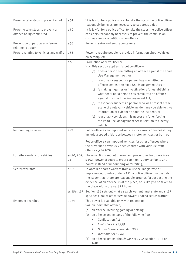| Power to take steps to prevent a riot                        | s 51              | 'It is lawful for a police officer to take the steps the police officer<br>reasonably believes are necessary to suppress a riot'.                                                                                                                                                                                                                                                                                                                                                                                                                                                                                                                                                                                                                 |
|--------------------------------------------------------------|-------------------|---------------------------------------------------------------------------------------------------------------------------------------------------------------------------------------------------------------------------------------------------------------------------------------------------------------------------------------------------------------------------------------------------------------------------------------------------------------------------------------------------------------------------------------------------------------------------------------------------------------------------------------------------------------------------------------------------------------------------------------------------|
| Power to take steps to prevent an<br>offence being committed | s 52              | 'It is lawful for a police officer to take the steps the police officer<br>considers reasonably necessary to prevent the commission,<br>continuation or repetition of an offence'.                                                                                                                                                                                                                                                                                                                                                                                                                                                                                                                                                                |
| Prevention of particular offences<br>relating to liquor      | s 53              | Power to seize and empty containers                                                                                                                                                                                                                                                                                                                                                                                                                                                                                                                                                                                                                                                                                                               |
| Powers relating to vehicles and traffic                      | s 55              | Power to require people to provide information about vehicles,<br>ownership, etc.                                                                                                                                                                                                                                                                                                                                                                                                                                                                                                                                                                                                                                                                 |
|                                                              | s 58              | Production of driver licence:<br>'(1) This section applies if a police officer-<br>(a) finds a person committing an offence against the Road<br>Use Management Act; or<br>(b) reasonably suspects a person has committed an<br>offence against the Road Use Management Act; or<br>(c) is making inquiries or investigations for establishing<br>whether or not a person has committed an offence<br>against the Road Use Management Act; or<br>(d) reasonably suspects a person who was present at the<br>scene of a relevant vehicle incident may be able to give<br>information or evidence about the incident; or<br>(e) reasonably considers it is necessary for enforcing<br>the Road Use Management Act in relation to a heavy<br>vehicle'. |
| Impounding vehicles                                          | s 74              | Police officers can impound vehicles for various offences if they<br>include a speed trial, race between motor vehicles, or burn out.<br>Police officers can impound vehicles for other offences where<br>the driver has previously been charged with various traffic<br>offences (s 69A(2))                                                                                                                                                                                                                                                                                                                                                                                                                                                      |
| Forfeiture orders for vehicles                               | ss 90, 90A.<br>91 | These sections set out powers and procedures for orders (see<br>s 102-power of court to order community service (up to 240<br>hours) instead of impounding or forfeiting).                                                                                                                                                                                                                                                                                                                                                                                                                                                                                                                                                                        |
| Search warrants                                              | s 151             | To obtain a search warrant from a justice, magistrate or<br>Supreme Court judge under s 151, a police officer must satisfy<br>the issuer that 'there are reasonable grounds for suspecting the<br>evidence' of an offence 'is at the place; or is likely to be taken to<br>the place within the next 72 hours'.                                                                                                                                                                                                                                                                                                                                                                                                                                   |
|                                                              | ss 156, 157       | Section 156 sets out what a search warrant must state and s 157<br>specifies a police officer's wide powers under a search warrant.                                                                                                                                                                                                                                                                                                                                                                                                                                                                                                                                                                                                               |
| <b>Emergent searches</b>                                     | s 159             | This power is available only with respect to<br>'(a) an indictable offence;<br>an offence involving gaming or betting;<br>(b)<br>an offence against any of the following Acts-<br>(c)<br>Confiscation Act<br>$\bullet$<br>Explosives Act 1999<br><b>Nature Conservation Act 1992</b><br>Weapons Act 1990;<br>an offence against the Liquor Act 1992, section 168B or<br>(d)<br>168C'.                                                                                                                                                                                                                                                                                                                                                             |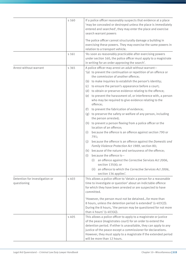|                                                                 | s 160 | If a police officer reasonably suspects that evidence at a place<br>'may be concealed or destroyed unless the place is immediately<br>entered and searched', they may enter the place and exercise<br>search warrant powers                                                                                                                                                                                                                                                                                                                                                                                                                                                                                                                                                                                                                                                                                                                                                                                                                                                                                                                                                                                              |
|-----------------------------------------------------------------|-------|--------------------------------------------------------------------------------------------------------------------------------------------------------------------------------------------------------------------------------------------------------------------------------------------------------------------------------------------------------------------------------------------------------------------------------------------------------------------------------------------------------------------------------------------------------------------------------------------------------------------------------------------------------------------------------------------------------------------------------------------------------------------------------------------------------------------------------------------------------------------------------------------------------------------------------------------------------------------------------------------------------------------------------------------------------------------------------------------------------------------------------------------------------------------------------------------------------------------------|
|                                                                 |       | The police officer cannot structurally damage a building in<br>exercising these powers. They may exercise the same powers in<br>relation to a transport vehicle.                                                                                                                                                                                                                                                                                                                                                                                                                                                                                                                                                                                                                                                                                                                                                                                                                                                                                                                                                                                                                                                         |
|                                                                 | s 161 | 'As soon as reasonably practicable after exercising powers<br>under section 160, the police officer must apply to a magistrate<br>in writing for an order approving the search'.                                                                                                                                                                                                                                                                                                                                                                                                                                                                                                                                                                                                                                                                                                                                                                                                                                                                                                                                                                                                                                         |
| Arrest without warrant                                          | s 365 | A police officer may arrest an adult without warrant-<br>'(a) to prevent the continuation or repetition of an offence or<br>the commission of another offence;<br>(b) to make inquiries to establish the person's identity;<br>to ensure the person's appearance before a court;<br>(c)<br>(d) to obtain or preserve evidence relating to the offence;<br>(e) to prevent the harassment of, or interference with, a person<br>who may be required to give evidence relating to the<br>offence;<br>to prevent the fabrication of evidence;<br>(f)<br>(g) to preserve the safety or welfare of any person, including<br>the person arrested;<br>(h) to prevent a person fleeing from a police officer or the<br>location of an offence;<br>because the offence is an offence against section 790 or<br>(i)<br>791;<br>because the offence is an offence against the Domestic and<br>(j)<br>Family Violence Protection Act 1989, section 80;<br>because of the nature and seriousness of the offence;<br>(k)<br>(l) because the offence is-<br>an offence against the Corrective Services Act 2006,<br>(i)<br>section 135(4); or<br>an offence to which the Corrective Services Act 2006,<br>(iii)<br>section 136 applies'. |
| Detention for investigation or<br>s 403<br>questioning<br>s 405 |       | This allows a police officer to 'detain a person for a reasonable<br>time to investigate or question' about an indictable offence<br>for which they have been arrested or are suspected to have<br>committed.<br>'However, the person must not be detainedfor more than<br>8 hours, unless the detention period is extended' (s 403(2)).<br>During the 8 hours, 'the person may be questioned for not more<br>than 4 hours' (s $403(4)$ ).                                                                                                                                                                                                                                                                                                                                                                                                                                                                                                                                                                                                                                                                                                                                                                               |
|                                                                 |       | This allows a police officer to apply to a magistrate or justice<br>of the peace (magistrates court) for an order to extend the<br>detention period. If either is unavailable, they can apply to any<br>justice of the peace except a commissioner for declarations.<br>However, they must apply to a magistrate if the extended period<br>will be more than 12 hours.                                                                                                                                                                                                                                                                                                                                                                                                                                                                                                                                                                                                                                                                                                                                                                                                                                                   |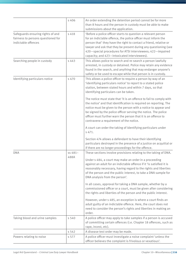|                                                                                                | s 406           | An order extending the detention period cannot be for more<br>than 8 hours and the person in custody must be able to make<br>submissions about the application.                                                                                                                                                                                                                          |
|------------------------------------------------------------------------------------------------|-----------------|------------------------------------------------------------------------------------------------------------------------------------------------------------------------------------------------------------------------------------------------------------------------------------------------------------------------------------------------------------------------------------------|
| Safeguards ensuring rights of and<br>fairness to persons questioned for<br>indictable offences | s 418           | 'Before a police officer starts to question a relevant person<br>for an indictable offence, the police officer must inform the<br>person that' they have the right to contact a friend, relative or<br>lawyer and ask that they be present during any questioning (see<br>420-special procedures for ATSI interviewees; 422-impaired<br>capacity; and 423-intoxicated interviewees).     |
| Searching people in custody                                                                    | s 443           | This allows police to search and re-search a person lawfully<br>arrested, in custody or detained. Police may retain any evidence<br>found in the search, and anything that may endanger anyone's<br>safety or be used to escape while that person is in custody.                                                                                                                         |
| Identifying particulars notice                                                                 | s 470           | This allows a police officer to require a person by way of an<br>'identifying particulars notice' to report to a stated police<br>station, between stated hours and within 7 days, so that<br>identifying particulars can be taken.                                                                                                                                                      |
|                                                                                                |                 | The notice must state that 'it is an offence to fail to comply with<br>the notice' and that identification is required on reporting. The<br>notice must be given to the person with a notice to appear and<br>be signed by the police officer serving the notice. The police<br>officer must further warn the person that it is an offence to<br>contravene a requirement of the notice. |
|                                                                                                |                 | A court can order the taking of identifying particulars under<br>s 471.                                                                                                                                                                                                                                                                                                                  |
|                                                                                                |                 | Section 474 allows a defendant to have their identifying<br>particulars destroyed in the presence of a justice on acquittal or<br>if there are no longer proceedings for the offence.                                                                                                                                                                                                    |
| <b>DNA</b>                                                                                     | ss 481-<br>488A | These sections involve provisions relating to the taking of DNA.<br>Under s 484, a court may make an order in a proceeding<br>against an adult for an indictable offence if it 'is satisfied it is<br>reasonably necessary, having regard to the rights and liberties<br>of the person and the public interest, to take a DNA sample for<br>DNA analysis from the person'.               |
|                                                                                                |                 | In all cases, approval for taking a DNA sample, whether by a<br>commissioned officer or a court, must be given after considering<br>the rights and liberties of the person and the public interest.                                                                                                                                                                                      |
|                                                                                                |                 | However, under s 485, an exception is where a court finds an<br>adult guilty of an indictable offence. Here, the court does not<br>need to consider the person's rights and liberties in making an<br>order.                                                                                                                                                                             |
| Taking blood and urine samples                                                                 | s 540           | A police officer may apply to take samples if a person is accused<br>of committing certain offences (i.e. Chapter 18 offences, such as<br>rape, incest, etc).                                                                                                                                                                                                                            |
|                                                                                                | s 542           | A disease test order may be made.                                                                                                                                                                                                                                                                                                                                                        |
| Powers relating to noise                                                                       | s 577           | A police officer must investigate a noise complaint 'unless the<br>officer believes the complaint is frivolous or vexatious'.                                                                                                                                                                                                                                                            |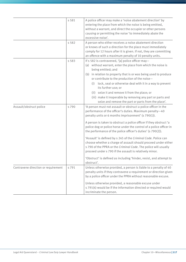|                                     | s 581 | A police officer may make a 'noise abatement direction' by<br>entering the place from which the noise is being emitted,<br>without a warrant, and direct the occupier or other persons<br>causing or permitting the noise 'to immediately abate the<br>excessive noise'. |
|-------------------------------------|-------|--------------------------------------------------------------------------------------------------------------------------------------------------------------------------------------------------------------------------------------------------------------------------|
|                                     | s 582 | A person who either receives a noise abatement direction<br>or knows of such a direction for the place must immediately<br>comply for 12 hours after it is given. If not, they are committing<br>an offence with a maximum penalty of 10 penalty units.                  |
|                                     | s 583 | If s 582 is contravened, '[a] police officer may-<br>(a) without warrant, enter the place from which the noise is<br>being emitted; and                                                                                                                                  |
|                                     |       | (b) in relation to property that is or was being used to produce<br>or contribute to the production of the noise-                                                                                                                                                        |
|                                     |       | lock, seal or otherwise deal with it in a way to prevent<br>(i)<br>its further use; or                                                                                                                                                                                   |
|                                     |       | (ii) seize it and remove it from the place; or                                                                                                                                                                                                                           |
|                                     |       | (iii) make it inoperable by removing any part or parts and                                                                                                                                                                                                               |
|                                     |       | seize and remove the part or parts from the place'.                                                                                                                                                                                                                      |
| Assault/obstruct police             | s 790 | 'A person must not assault or obstruct a police officer in the<br>performance of the officer's duties. Maximum penalty-40<br>penalty units or 6 months imprisonment' (s 790(1)).                                                                                         |
|                                     |       | A person is taken to obstruct a police officer if they obstruct 'a<br>police dog or police horse under the control of a police officer in<br>the performance of the police officer's duties' (s 790(2)).                                                                 |
|                                     |       | 'Assault' is defined by s 245 of the Criminal Code. Police can<br>choose whether a charge of assault should proceed under either<br>s 790 of the PPRA or the Criminal Code. The police will usually<br>proceed under s 790 if the assault is relatively minor.           |
|                                     |       | 'Obstruct' is defined as including 'hinder, resist, and attempt to<br>obstruct'.                                                                                                                                                                                         |
| Contravene direction or requirement | s 791 | Unless otherwise provided, a person is liable to a penalty of 40<br>penalty units if they contravene a requirement or direction given<br>by a police officer under the PPRA without reasonable excuse.                                                                   |
|                                     |       | Unless otherwise provided, a reasonable excuse under<br>s 791(4) would be if the information directed or required would<br>incriminate the person.                                                                                                                       |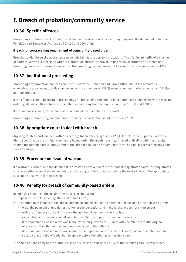# **F. Breach of probation/community service**

### **10-36 Specific offences**

Proceedings for breaches of probation and community service orders are brought against the defendant under the Penalties and Sentences Act (see ss 90–110 and 120–142).

#### **Breach for contravening requirement of community-based order**

Breaches under these circumstances can include failing to report to a probation officer, failing to notify of a change of address, leaving Queensland without a probation officer's approval, failing to pay restitution as ordered and breaching due to a subsequent conviction. The breaching conduct need not have occurred in Queensland (s 123).

### **10-37 Institution of proceedings**

Proceedings for probation breaches are instituted by the Probation and Parole Office and, if the offender's whereabouts are known, usually commenced with a summons (s 128(1)—single community-based order; s 129(1) multiple orders).

If the offender cannot be located, proceedings for breach of a community-based order are commenced with a warrant ordering all police officers to arrest the offender and bring them before the court (ss 128(2) and 129(2)).

If a summons is issued, the offender is summonsed to appear before the court.

Proceedings for breaching an order may be commenced after the end of the order (s 132).

#### **10-38 Appropriate court to deal with breach**

Any magistrates court can deal with proceedings for an offence against s 123(1) (s 124). If the Supreme Court or a district court made the original community-based order, the magistrate may, instead of dealing with the breach, commit the offender into custody or grant the offender bail to be brought before the original higher sentencing court (see s 125(4)(b)).

#### **10-39 Procedure on issue of warrant**

If a warrant is issued, and the defendant is arrested and taken before the nearest magistrates court, the magistrates court may either commit the defendant to custody or grant bail to appear before the next sittings of the appropriate court to be dealt with for the breach.

### **10-40 Penalty for breach of community-based orders**

In imposing penalties, the magistrates court can choose to:

- impose a fine not exceeding 10 penalty units (s 125)
- in addition to or instead of the above, admonish and discharge the offender or make one of the following orders:
	- order the payment of unpaid restitution or compensation and make further orders for enforcement
	- with the offender's consent, increase the number of community service hours
	- extend the period of one year allowed for the offender to perform community service
	- if the community-based order was made by the magistrates court, deal with the offender for the original offence as if the offender had just been convicted of that offence
	- if the community-based order was made by the Supreme Court or a district court, commit the offender into custody or grant the offender bail to appear before the original sentencing court.

The same options apply to the district court and Supreme Court under s 126 of the Penalties and Sentences Act.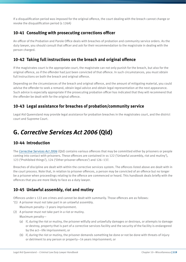If a disqualification period was imposed for the original offence, the court dealing with the breach cannot change or revoke the disqualification period (s 126A)

### **10-41 Consulting with prosecuting corrections officer**

An officer of the Probation and Parole Office deals with breaches of probation and community service orders. As the duty lawyer, you should consult that officer and ask for their recommendation to the magistrate in dealing with the person charged.

### **10-42 Taking full instructions on the breach and original offence**

If the magistrates court is the appropriate court, the magistrate can not only punish for the breach, but also for the original offence, as if the offender had just been convicted of that offence. In such circumstances, you must obtain full instructions on both the breach and original offence.

Depending on the circumstances of the breach and original offence, and the amount of mitigating material, you could advise the offender to seek a remand, obtain legal advice and obtain legal representation at the next appearance. Such advice is especially appropriate if the prosecuting probation officer has indicated that they will recommend that the offender be dealt with for the original offence.

### **10-43 Legal assistance for breaches of probation/community service**

Legal Aid Queensland may provide legal assistance for probation breaches in the magistrates court, and the district court and Supreme Court.

# **G.** *Corrective Services Act 2006* **(Qld)**

### **10-44 Introduction**

The *[Corrective Services Act 2006](http://www.legislation.qld.gov.au/LEGISLTN/CURRENT/C/CorServA06.pdf)* (Qld) contains various offences that may be committed either by prisoners or people coming into contact with prisoners. These offences are contained in ss 122 ('Unlawful assembly, riot and mutiny'), 123 ('Prohibited things'), 124 ('Other prisoner offences') and 126–137.

Breaches of discipline are dealt with within the corrective services system. The offences listed above are dealt with in the court process. Note that, in relation to prisoner offences, a person may be convicted of an offence but no longer be a prisoner when proceedings relating to the offence are commenced or heard. This handbook deals briefly with the offences that you are more likely to face as a duty lawyer.

### **10-45 Unlawful assembly, riot and mutiny**

Offences under s 122 are crimes and cannot be dealt with summarily. Those offences are as follows:

- '(1) A prisoner must not take part in an unlawful assembly. Maximum penalty—3 years imprisonment.
- (2) A prisoner must not take part in a riot or mutiny. Maximum penalty—
	- (a) if, during the riot or mutiny, the prisoner wilfully and unlawfully damages or destroys, or attempts to damage or destroy, property that is part of a corrective services facility and the security of the facility is endangered by the act—life imprisonment; or
	- (b) if, during the riot or mutiny, the prisoner demands something be done or not be done with threats of injury or detriment to any person or property—14 years imprisonment; or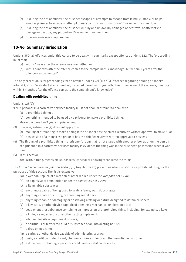- (c) if, during the riot or mutiny, the prisoner escapes or attempts to escape from lawful custody, or helps another prisoner to escape or attempt to escape from lawful custody—14 years imprisonment; or
- (d) if, during the riot or mutiny, the prisoner wilfully and unlawfully damages or destroys, or attempts to damage or destroy, any property—10 years imprisonment; or
- (e) otherwise—6 years imprisonment'.

### **10-46 Summary jurisdiction**

Under s 350, all offences under this Act are to be dealt with summarily except offences under s 122. The 'proceeding must start—

- (a) within 1 year after the offence was committed; or
- (b) within 6 months after the offence comes to the complainant's knowledge, but within 2 years after the offence was committed'.

The only exception is for proceedings for an offence under s 28F(1) or (5) (offences regarding holding prisoner's artwork), which 'may start at any time but, if started more than 1 year after the commission of the offence, must start within 6 months after the offence comes to the complainant's knowledge'.

#### **Dealing with prohibited thing**

Under s 123(2):

'(2) A prisoner in a corrective services facility must not deal, or attempt to deal, with—

- (a) a prohibited thing; or
- (b) something intended to be used by a prisoner to make a prohibited thing.

Maximum penalty—2 years imprisonment.

- (3) However, subsection (2) does not apply to—
	- (a) making or attempting to make a thing if the prisoner has the chief executive's written approval to make it; or
	- (b) possession of a thing if the prisoner has the chief executive's written approval to possess it.
- (4) The finding of a prohibited thing in a prisoner's room that is not shared with another prisoner, or on the person of a prisoner, in a corrective services facility is evidence the thing was in the prisoner's possession when it was found.
- (5) In this section—

deal with, a thing, means make, possess, conceal or knowingly consume the thing'.

The *[Corrective Services Regulation 2006](http://www.legislation.qld.gov.au/LEGISLTN/CURRENT/C/CorServR06.pdf)* (Qld) (regulation 20) prescribes what constitutes a prohibited thing for the purposes of this section. The list is extensive:

- '(a) a weapon, replica of a weapon or other replica under the *Weapons Act 1990*;
- (b) an explosive or ammunition under the *Explosives Act 1999*;
- (c) a flammable substance;
- (d) anything capable of being used to scale a fence, wall, door or gate;
- (e) anything capable of cutting or spreading metal bars;
- (f) anything capable of damaging or destroying a fitting or fixture designed to detain prisoners;
- (g) a key, card, or other device capable of opening a mechanical or electronic lock;
- (h) soap or another substance containing an impression of a prohibited thing, including, for example, a key;
- (i) a knife, a saw, scissors or another cutting implement;
- (j) kitchen utensils or equipment or tools;
- (k) a spirituous or fermented fluid or substance of an intoxicating nature;
- (l) a drug or medicine;
- (m) a syringe or other device capable of administering a drug;
- (n) cash, a credit card, debit card, cheque or money order or another negotiable instrument;
- (o) a document containing a person's credit card or debit card details;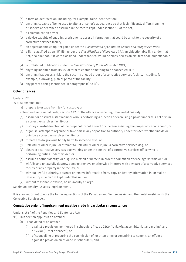- (p) a form of identification, including, for example, false identification;
- (q) anything capable of being used to alter a prisoner's appearance so that it significantly differs from the prisoner's appearance described in the record kept under section 10 of the Act;
- (r) a communication device;
- (s) a device capable of enabling a prisoner to access information that could be a risk to the security of a corrective services facility;
- (t) an objectionable computer game under the *Classification of Computer Games and Images Act 1995*;
- (u) a film classified as an "R" film under the *Classification of Films Act 1991*, an objectionable film under that Act, or a film that, if it were classified under that Act, would be classified as an "R" film or an objectionable film;
- (v) a prohibited publication under the *Classification of Publications Act 1991*;
- (w) anything modified from its usual form to enable something to be concealed in it;
- (x) anything that poses a risk to the security or good order of a corrective services facility, including, for example, a drawing, plan or photo of the facility;
- (y) any part of a thing mentioned in paragraphs (a) to (x)'.

#### **Other offences**

Under s 124:

'A prisoner must not—

(a) prepare to escape from lawful custody; or

Note—See the Criminal Code, section 142 for the offence of escaping from lawful custody.

- (b) assault or obstruct a staff member who is performing a function or exercising a power under this Act or is in a corrective services facility; or
- (c) disobey a lawful direction of the proper officer of a court or a person assisting the proper officer of a court; or
- (d) organise, attempt to organise or take part in any opposition to authority under this Act, whether inside or outside a corrective services facility; or
- (e) threaten to do grievous bodily harm to someone else; or
- (f) unlawfully kill or injure, or attempt to unlawfully kill or injure, a corrective services dog; or
- (g) obstruct a corrective services dog working under the control of a corrective services officer who is performing duties under this Act; or
- (h) assume another identity, or disguise himself or herself, in order to commit an offence against this Act; or
- (i) wilfully and unlawfully destroy, damage, remove or otherwise interfere with any part of a corrective services facility or any property in the facility; or
- (j) without lawful authority, abstract or remove information from, copy or destroy information in, or make a false entry in, a record kept under this Act; or
- (k) without reasonable excuse, be unlawfully at large.

Maximum penalty—2 years imprisonment'.

It is also important to note the following sections of the Penalties and Sentences Act and their relationship with the Corrective Services Act:

#### **Cumulative order of imprisonment must be made in particular circumstances**

Under s 156A of the Penalties and Sentences Act:

- '(1) This section applies if an offender—
	- (a) is convicted of an offence—
		- (i) against a provision mentioned in schedule 1 [i.e. s 122(2) ('Unlawful assembly, riot and mutiny) and s 124(a) ('Other offences'); or
		- (ii) of counselling or procuring the commission of, or attempting or conspiring to commit, an offence against a provision mentioned in schedule 1; and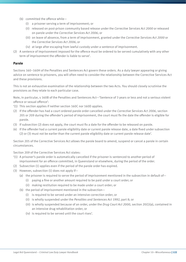- (b) committed the offence while—
	- (i) a prisoner serving a term of imprisonment; or
	- (ii) released on post-prison community based release under the *Corrective Services Act 2000* or released on parole under the *Corrective Services Act 2006*; or
	- (iii) on leave of absence, from a term of imprisonment, granted under the *Corrective Services Act 2000* or the *Corrective Services Act 2006*; or
	- (iv) at large after escaping from lawful custody under a sentence of imprisonment.
- (2) A sentence of imprisonment imposed for the offence must be ordered to be served cumulatively with any other term of imprisonment the offender is liable to serve'.

#### **Parole**

Sections 160–160H of the Penalties and Sentences Act govern these orders. As a duty lawyer appearing or giving advice on sentence to prisoners, you will often need to consider the relationship between the Corrective Services Act and these provisions.

This is not an exhaustive examination of the relationship between the two Acts. You should closely scrutinise the provisions as they relate to each particular case.

Note, in particular, s 160B of the Penalties and Sentences Act—'Sentence of 3 years or less and not a serious violent offence or sexual offence':

- '(1) This section applies if neither section 160C nor 160D applies.
- (2) If the offender has had a court ordered parole order cancelled under the *Corrective Services Act 2006*, section 205 or 209 during the offender's period of imprisonment, the court must fix the date the offender is eligible for parole.
- (3) If subsection (2) does not apply, the court must fix a date for the offender to be released on parole.
- (4) If the offender had a current parole eligibility date or current parole release date, a date fixed under subsection (2) or (3) must not be earlier than the current parole eligibility date or current parole release date'.

Section 205 of the Corrective Services Act allows the parole board to amend, suspend or cancel a parole in certain circumstances.

Section 209 of the Corrective Services Act states:

- '(1) A prisoner's parole order is automatically cancelled if the prisoner is sentenced to another period of imprisonment for an offence committed, in Queensland or elsewhere, during the period of the order.
- (2) Subsection (1) applies even if the period of the parole order has expired.
- (3) However, subsection (1) does not apply if—
	- (a) the prisoner is required to serve the period of imprisonment mentioned in the subsection in default of-
		- (i) paying a fine or another amount required to be paid under a court order; or
		- (ii) making restitution required to be made under a court order; or
	- (b) the period of imprisonment mentioned in the subsection—
		- (i) is required to be served under an intensive correction order; or
		- (ii) is wholly suspended under the *Penalties and Sentences Act 1992*, part 8; or
		- (iii) is wholly suspended because of an order, under the *Drug Court Act 2000*, section 20(1)(a), contained in an intensive drug rehabilitation order; or
		- (iv) is required to be served until the court rises'.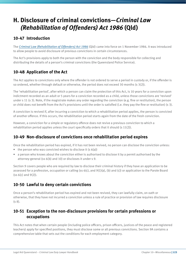# **H. Disclosure of criminal convictions—***Criminal Law (Rehabilitation of Offenders) Act 1986* **(Qld)**

### **10-47 Introduction**

The *[Criminal Law \(Rehabilitation of Offenders\) Act 1986](http://www.legislation.qld.gov.au/LEGISLTN/CURRENT/C/CriminLwRehA86.pdf)* (Qld) came into force on 1 November 1986. It was introduced to allow people to avoid disclosure of previous convictions in certain circumstances.

The Act's provisions apply to both the person with the conviction and the body responsible for collecting and distributing the details of a person's criminal convictions (the Queensland Police Service).

### **10-48 Application of the Act**

The Act applies to convictions only where the offender is not ordered to serve a period in custody or, if the offender is so ordered, whether through default or otherwise, the period does not exceed 30 months (s 3(2)).

The 'rehabilitation period', after which a person can claim the protection of this Act, is 10 years for a conviction upon indictment recorded as an adult or 5 years for a conviction recorded as a child, unless those convictions are 'revived' under s 11 (s 3). Note, if the magistrate makes any order regarding the conviction (e.g. fine or restitution), the person or child does not benefit from the Act's provisions until the order is satisfied (i.e. they pay the fine or restitution) (s 3).

A conviction is revived if, after incurring a conviction to which a rehabilitation period applies, the person is convicted of another offence. If this occurs, the rehabilitation period starts again from the date of the fresh conviction.

However, a conviction for a simple or regulatory offence does not revive a previous conviction to which a rehabilitation period applies unless the court specifically orders that it should (s 11(2)).

### **10-49 Non-disclosure of convictions once rehabilitation period expires**

Once the rehabilitation period has expired, if it has not been revived, no person can disclose the conviction unless:

- $\bullet$  the person who was convicted wishes to disclose it (s 6(a))
- a person who knows about the conviction either is authorised to disclose it by a permit authorised by the attorney-general (ss 6(b) and 10) or discloses it under s 9.

Section 9 covers people who are required by law to disclose their criminal history if they have an application to be assessed for a profession, occupation or calling (ss 6(c), and 9(1)(a), (b) and (c)) or application to the Parole Board  $(s<sub>5</sub> 6(c) and 9(2)).$ 

### **10-50 Lawful to deny certain convictions**

Once a person's rehabilitation period has expired and not been revived, they can lawfully claim, on oath or otherwise, that they have not incurred a conviction unless a rule of practice or provision of law requires disclosure (s 8).

### **10-51 Exception to the non-disclosure provisions for certain professions or occupations**

This Act notes that when certain people (including police officers, prison officers, justices of the peace and registered teachers) apply for specified positions, they must disclose some or all previous convictions. Section 9A contains a comprehensive table that sets out the conditions for each employment category.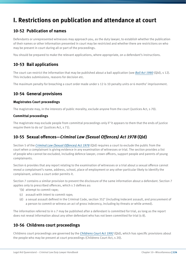# **I. Restrictions on publication and attendance at court**

### **10-52 Publication of names**

Defendants or unrepresented witnesses may approach you, as the duty lawyer, to establish whether the publication of their names or other information presented in court may be restricted and whether there are restrictions on who may be present in court during all or part of the proceedings.

You should be prepared to make the relevant applications, where appropriate, on a defendant's instructions.

### **10-53 Bail applications**

The court can restrict the information that may be published about a bail application (see *[Bail Act 1980](http://www.legislation.qld.gov.au/LEGISLTN/CURRENT/B/BailA80.pdf)* (Qld), s 12). This includes submissions, reasons for decision etc.

The maximum penalty for breaching a court order made under s 12 is 10 penalty units or 6 months' imprisonment.

### **10-54 General provisions**

#### **Magistrates Court proceedings**

The magistrate may, in the interests of public morality, exclude anyone from the court (Justices Act, s 70).

#### **Committal proceedings**

The magistrate may exclude people from committal proceedings only if 'it appears to them that the ends of justice require them to do so' (Justices Act, s 71).

### **10-55 Sexual offences—***Criminal Law (Sexual Offences) Act 1978* **(Qld)**

Section 5 of the *[Criminal Law \(Sexual Offences\) Act 1978](http://www.legislation.qld.gov.au/LEGISLTN/CURRENT/C/CriminLwSexOA78.pdf)* (Qld) requires a court to exclude the public from the court when a complainant is giving evidence in any examination of witnesses or trial. The section provides a list of people who cannot be excluded, including defence lawyer, crown officers, support people and parents of young complainants.

Section 6 provides that any report relating to the examination of witnesses or a trial about a sexual offence cannot reveal a complainant's name, address, school, place of employment or any other particular likely to identify the complainant, unless a court order permits it.

Section 7 contains a similar provision to prevent the disclosure of the same information about a defendant. Section 7 applies only to prescribed offences, which s 3 defines as:

- '(b) attempt to commit rape;
- (c) assault with intent to commit rape;
- (d) a sexual assault defined in the Criminal Code, section 352' (including indecent assault, and procurement of a person to commit or witness an act of gross indecency, including by threats or while armed).

The information referred to in s 7 may be published after a defendant is committed for trial, as long as the report does not reveal information about any other defendant who has not been committed for trial (s 8).

### **10-56 Childrens court proceedings**

Childrens court proceedings are governed by the *[Childrens Court Act 1992](http://www.legislation.qld.gov.au/LEGISLTN/CURRENT/C/ChildrensCtA92.pdf)* (Qld), which has specific provisions about the people who may be present at court proceedings (Childrens Court Act, s 20).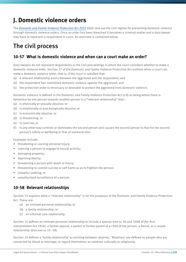# **J. Domestic violence orders**

The *[Domestic and Family Violence Protection Act 2012](http://www.legislation.qld.gov.au/LEGISLTN/ACTS/2012/12AC005.pdf)* (Qld) sets out the civil regime for preventing domestic violence through domestic violence orders. Once an order has been breached it becomes a criminal matter and a duty lawyer may have to represent a respondent in court. An overview is contained below.

# The civil process

### **10-57 What is domestic violence and when can a court make an order?**

Duty lawyers do not represent respondents in the civil proceedings in which the court considers whether to make a domestic violence order. Section 37 of the Domestic and Family Violence Protection Act outlines when a court can make a domestic violence order, that is, if the court is satisfied that:

- (a) a relevant relationship exists between the aggrieved and the respondent; and
- (b) the respondent has committed domestic violence against the aggrieved; and
- (c) the protection order is necessary or desirable to protect the aggrieved from domestic violence.

Domestic violence is defined in the Domestic and Family Violence Protection Act (s 8) as being where there is behaviour by one person towards another person in a "relevant relationship" that –

- (a) is physically or sexually abusive; or
- (b) is emotionally or psychologically abusive; or
- (c) is economically abusive; or
- (d) is threatening; or
- (e) is coercive; or
- (f) in any other way controls or dominates the second person and causes the second person to fear for the second person's safety or wellbeing or that of someone else.

Examples include:

- threatening or causing personal injury;
- coercing a person to engage to sexual activity;
- damaging property;
- depriving liberty;
- threatening a person with death or injury;
- threatening to commit suicide or self harm so as to frighten the person;
- unlawful stalking; or
- unauthorised surveillance of a person.

### **10-58 Relevant relationships**

Section 13 explains what a "relevant relationship" is for the purposes of the Domestic and Family Violence Protection Act. These are:

- (a) an intimate personal relationship; or
- (b) a family relationship; or
- (c) an informal care relationship.

Section 14 defines an intimate personal relationship to include a spouse (see ss 36 and 32DA of the *Acts Interpretation Act 1954*), a former spouse, a parent or former parent of a child of the person, a fiancé, or a couple relationship (also see ss 15–18).

Section 19 defines a 'family relationship' as existing between relatives. 'Relatives' are defined as people who are connected by blood or marriage, or regard themselves as relatives culturally or religiously.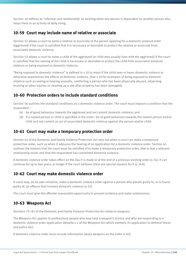Section 20 defines an 'informal care relationship' as existing when one person is dependent on another person who helps them in an activity of daily living.

#### **10-59 Court may include name of relative or associate**

Section 52 allows a court to name a relative or associate of the person applying for a domestic violence order (aggrieved) if the court is satisfied that it is necessary or desirable to protect the relative or associate from associated domestic violence.

Section 53 allows a court to name a child of the aggrieved (or child who usually lives with the aggrieved) if the court is satisfied that the naming of the child is necessary or desirable to protect the child from associated domestic violence or being exposed to domestic violence.

"Being exposed to domestic violence" is defined in s 10 to mean if the child sees or hears domestic violence or otherwise experiences the effects of domestic violence. (See s 10 for examples of being exposed to domestic violence such as seeing or hearing assaults, comforting a person who has been physically abused, observing bruising or other injuries or cleaning up a site after property has been damaged).

### **10-60 Protection orders to include standard conditions**

Section 56 outlines the standard conditions on a domestic violence order. The court must impose a condition that the respondent—

- (a) be of good behaviour towards the aggrieved and not commit domestic violence; and
- (b) if a named person or child is specified in the order—be of good behaviour towards the named person and/or child and not commit an act of associated domestic violence against the person and/or child.

#### **10-61 Court may make a temporary protection order**

Section 44 of the Domestic and Family Violence Protection Act sets out when a court can make a temporary protection order, such as when it adjourns the hearing of an application for a domestic violence order. Section 45 outlines the matters that the court must be satisfied of to make a temporary protection order, that is that a relevant relationship exists and that the respondent has committed domestic violence.

A domestic violence order takes effect on the day it is made or at the end of a previous existing order (s 34). It can continue for up to two years, or longer if the court believes there are special reasons for it (s 34A).

### **10-62 Court may make domestic violence order**

A court may, on its own initiative, make a domestic violence order against a person who pleads guilty to, or is found guilty of, an offence that involves domestic violence (s 42).

The court must give the offender reasonable opportunity to present evidence and make submissions.

### **10-63 Weapons Act**

Sections 79–83 of the Domestic and Family Violence Protection Act relate to weapons.

The Weapons Act applies to professional people who may hold a weapon's licence and who are responding to a domestic violence order application (despite s 2 of the Weapons Act which exempts its application to defence forces and police etc).

A domestic violence order must include information about weapons on the order (s 82).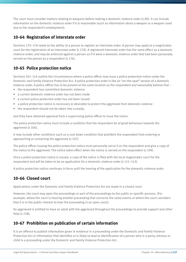The court must consider matters relating to weapons before making a domestic violence order (s 80). It can include information on the domestic violence order if it is reasonable (such as information about a weapon or a weapon used due to the respondent's employment).

### **10-64 Registration of interstate order**

Sections 170–176 relate to the ability of a person to register an interstate order. A person may apply to a magistrates court for the registration of an interstate order (s 170). A registered interstate order has the same effect as a domestic violence order; and may be enforced against a person as if it were a domestic violence order that had been personally served on the person as a respondent (s 174).

### **10-65 Police protection notice**

Sections 101–114 outline the circumstances where a police officer may issue a police protection notice under the Domestic and Family Violence Protection Act. A police protection order is like an "on-the-spot" version of a domestic violence order. A police officer has to be present at the same location as the respondent and reasonably believe that –

- the respondent has committed domestic violence
- a current domestic violence order has not been made
- a current police protection order has not been issued
- a police protection notice is necessary or desirable to protect the aggrieved from domestic violence
- the respondent should not be taken into custody,

and they have obtained approval from a supervising police officer to issue the notice.

The police protection notice must include a condition that the respondent be of good behaviour towards the aggrieved (s 106).

It may include other conditions such as a cool down condition that prohibits the respondent from entering or approaching or contacting the aggrieved (s 107).

The police officer issuing the police protection notice must personally serve it on the respondent and give a copy of the notice to the aggrieved. The notice takes effect when the notice is served on the respondent (s 109).

Once a police protection notice is issued, a copy of the notice is filed with the local magistrates court for the respondent and will be taken to be an application for a domestic violence order (s 111–112).

A police protection notice continues in force until the hearing of the application for the domestic violence order.

### **10-66 Closed court**

Applications under the Domestic and Family Violence Protection Act are made in a closed court.

However, the court may open the proceedings or part of the proceedings to the public or specific persons. (For example, where the court is hearing another proceeding that concerns the same events or where the court considers that it is in the public interest to hear the proceeding in an open court).

An aggrieved is entitled to have an adult with the aggrieved throughout the proceedings to provide support and other help (s 158).

### **10-67 Prohibition on publication of certain information**

It is an offence to publish information given in evidence in a proceeding under the Domestic and Family Violence Protection Act or information that identifies or is likely to lead to identification of a person who is a party, witness or child in a proceeding under the Domestic and Family Violence Protection Act.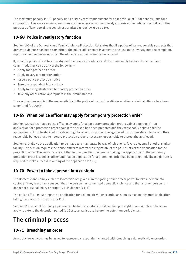The maximum penalty is 100 penalty units or two years imprisonment for an individual or 1000 penalty units for a corporation. There are certain exemptions such as where a court expressly authorises the publication or it is for the purposes of law reporting research or permitted under law (see s 159).

### **10-68 Police investigatory function**

Section 100 of the Domestic and Family Violence Protection Act states that if a police officer reasonably suspects that domestic violence has been committed, the police officer must investigate or cause to be investigated the complaint, report, or circumstances on which the officer's reasonable suspicion is based.

If, after the police officer has investigated the domestic violence and they reasonably believe that it has been committed, they can do any of the following –

- Apply for a protection order
- Apply to vary a protection order
- Issue a police protection notice
- Take the respondent into custody
- Apply to a magistrate for a temporary protection order
- Take any other action appropriate in the circumstances.

The section does not limit the responsibility of the police officer to investigate whether a criminal offence has been committed (s 100(5)).

### **10-69 When police officer may apply for temporary protection order**

Section 129 states that a police officer may apply for a temporary protection order against a person if – an application for a protection order against the person has been prepared and they reasonably believe that the application will not be decided quickly enough by a court to protect the aggrieved from domestic violence and they reasonably believe that a temporary protection order is necessary or desirable to protect the aggrieved.

Section 130 allows the application to be made to a magistrate by way of telephone, fax, radio, email or other similar facility. The section requires the police officer to inform the magistrate of the particulars of the application for the protection order. The magistrate is entitled to presume that the person making the application for the temporary protection order is a police officer and that an application for a protection order has been prepared. The magistrate is required to make a record in writing of the application (s 130).

### **10-70 Power to take a person into custody**

The Domestic and Family Violence Protection Act gives a investigating police officer power to take a person into custody if they reasonably suspect that the person has committed domestic violence and that another person is in danger of personal injury or property is in danger (s 116).

The police officer must prepare an application for a domestic violence order as soon as reasonably practicable after taking the person into custody (s 118).

Section 119 sets out how long a person can be held in custody but it can be up to eight hours. A police officer can apply to extend the detention period (s 121) to a magistrate before the detention period ends.

# The criminal process

### **10-71 Breaching an order**

As a duty lawyer, you may be asked to represent a respondent charged with breaching a domestic violence order.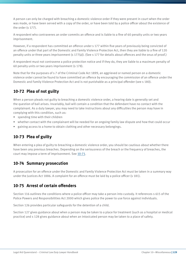A person can only be charged with breaching a domestic violence order if they were present in court when the order was made, or have been served with a copy of the order, or have been told by a police officer about the existence of the order (s 177).

A respondent who contravenes an order commits an offence and is liable to a fine of 60 penalty units or two years imprisonment.

However, if a respondent has committed an offence under s 177 within five years of previously being convicted of an offence under that part of the Domestic and Family Violence Protection Act, then they are liable to a fine of 120 penalty units or three years imprisonment (s 177(a)). (See s 177 for details about offences and the onus of proof.)

A respondent must not contravene a police protection notice and if they do, they are liable to a maximum penalty of 60 penalty units or two years imprisonment (s 178).

Note that for the purposes of s 7 of the Criminal Code Act 1899, an aggrieved or named person on a domestic violence order cannot be found to have committed an offence by encouraging the commission of an offence under the Domestic and Family Violence Protection Act and is not punishable as a principal offender (see s 180).

### **10-72 Plea of not guilty**

When a person pleads not guilty to breaching a domestic violence order, a hearing date is generally set and the question of bail arises. Invariably, bail will contain a condition that the defendant have no contact with the complainant. As a duty lawyer, you may need to take instructions about any difficulties the person may have in complying with this condition, such as:

- spending time with their children
- whether contact with the complainant will be needed for an ongoing family law dispute and how that could occur
- gaining access to a home to obtain clothing and other necessary belongings.

### **10-73 Plea of guilty**

When entering a plea of guilty to breaching a domestic violence order, you should be cautious about whether there have been any previous breaches. Depending on the seriousness of the breach or the frequency of breaches, the court may impose a term of imprisonment. See 10-71.

### **10-74 Summary prosecution**

A prosecution for an offence under the Domestic and Family Violence Protection Act must be taken in a summary way under the Justices Act 1886. A complaint for an offence must be laid by a police officer (s 181).

### **10-75 Arrest of certain offenders**

Section 116 outlines the conditions where a police officer may take a person into custody. It references s 615 of the Police Powers and Responsibilities Act 2000 which gives police the power to use force against individuals.

Section 126 provides particular safeguards for the detention of a child.

Section 127 gives guidance about when a person may be taken to a place for treatment (such as a hospital or medical practice) and s 128 gives guidance about when an intoxicated person may be taken to a place of safety.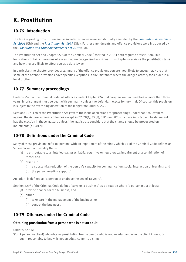# **K. Prostitution**

### **10-76 Introduction**

The laws regarding prostitution and associated offences were substantially amended by the *[Prostitution Amendment](http://www.legislation.qld.gov.au/LEGISLTN/ACTS/2001/01AC077.pdf)  [Act 2001](http://www.legislation.qld.gov.au/LEGISLTN/ACTS/2001/01AC077.pdf)* (Qld) and the *[Prostitution Act 1999](http://www.legislation.qld.gov.au/LEGISLTN/CURRENT/P/ProstitutA99.pdf)* (Qld). Further amendments and offence provisions were introduced by the *[Prostitution and Other Amendments Act 2010](http://www.legislation.qld.gov.au/LEGISLTN/ACTS/2010/10AC029.pdf)* (Qld).

The Prostitution Act and Chapter 22A of the Criminal Code (inserted in 2001) both regulate prostitution. This legislation contains numerous offences that are categorised as crimes. This chapter overviews the prostitution laws and how they are likely to affect you as a duty lawyer.

In particular, the chapter provides a summary of the offence provisions you are most likely to encounter. Note that some of the offence provisions have specific exceptions in circumstances where the alleged activity took place in a legal brothel.

### **10-77 Summary proceedings**

Under s 552B of the Criminal Code, all offences under Chapter 22A that carry maximum penalties of more than three years' imprisonment must be dealt with summarily unless the defendant elects for jury trial. Of course, this provision is subject to the overriding discretion of the magistrate under s 552D.

Sections 127–128 of the Prostitution Act govern the issue of elections for proceedings under that Act. Offences against the Act are summary offences except ss 77, 78(1), 79(1), 81(1) and 82, which are indictable. The defendant has the election in these matters unless 'the magistrate considers that the charge should be prosecuted on indictment' (s 128(2)).

### **10-78 Definitions under the Criminal Code**

Many of these provisions refer to 'persons with an impairment of the mind', which s 1 of the Criminal Code defines as 'a person with a disability that—

- (a) is attributable to an intellectual, psychiatric, cognitive or neurological impairment or a combination of these; and
- (b) results in—
	- (i) a substantial reduction of the person's capacity for communication, social interaction or learning; and
	- (ii) the person needing support'.

An 'adult' is defined as 'a person of or above the age of 18 years'.

Section 229F of the Criminal Code defines 'carry on a business' as a situation where 'a person must at least—

- (a) provide finance for the business; and
- (b) either—
	- (i) take part in the management of the business; or
	- (ii) control the business'.

### **10-79 Offences under the Criminal Code**

#### **Obtaining prostitution from a person who is not an adult**

Under s 229FA:

'(1) A person (a client) who obtains prostitution from a person who is not an adult and who the client knows, or ought reasonably to know, is not an adult, commits a crime.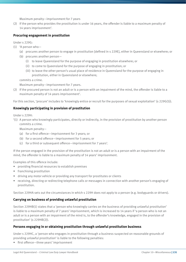Maximum penalty—imprisonment for 7 years

(2) If the person who provides the prostitution is under 16 years, the offender is liable to a maximum penalty of 14 years imprisonment'.

#### **Procuring engagement in prostitution**

Under s 229G:

- (1) 'A person who—
	- (a) procures another person to engage in prostitution [defined in s 229E], either in Queensland or elsewhere; or
	- (b) procures another person—
		- (i) to leave Queensland for the purpose of engaging in prostitution elsewhere; or
		- (ii) to come to Queensland for the purpose of engaging in prostitution; or
		- (iii) to leave the other person's usual place of residence in Queensland for the purpose of engaging in prostitution, either in Queensland or elsewhere;

commits a crime.

Maximum penalty—imprisonment for 7 years.

(2) If the procured person is not an adult or is a person with an impairment of the mind, the offender is liable to a maximum penalty of 14 years imprisonment'.

For this section, 'procure' includes to 'knowingly entice or recruit for the purposes of sexual exploitation' (s 229G(5)).

#### **Knowingly participating in provision of prostitution**

Under s 229H:

'(1) A person who knowingly participates, directly or indirectly, in the provision of prostitution by another person commits a crime.

Maximum penalty—

- (a) for a first offence—imprisonment for 3 years; or
- (b) for a second offence—imprisonment for 5 years; or
- (c) for a third or subsequent offence—imprisonment for 7 years'.

If the person engaged in the provision of the prostitution is not an adult or is a person with an impairment of the mind, the offender is liable to a maximum penalty of 14 years' imprisonment.

Examples of this offence include:

- providing financial resources to establish premises
- franchising prostitution
- driving any motor vehicle or providing any transport for prostitutes or clients
- receiving, directing or redirecting telephone calls or messages in connection with another person's engaging of prostitution.

Section 229HA sets out the circumstances in which s 229H does not apply to a person (e.g. bodyguards or drivers).

#### **Carrying on business of providing unlawful prostitution**

Section 229HB(1) states that a 'person who knowingly carries on the business of providing unlawful prostitution' is liable to a maximum penalty of 7 years' imprisonment, which is increased to 14 years if 'a person who is not an adult or is a person with an impairment of the mind is, to the offender's knowledge, engaged in the provision of prostitution' (s 229HB(2)).

#### **Persons engaging in or obtaining prostitution through unlawful prostitution business**

Under s 229HC, a 'person who engages in prostitution through a business suspected on reasonable grounds of providing unlawful prostitution' is liable to the following penalties:

• first offence—three years' imprisonment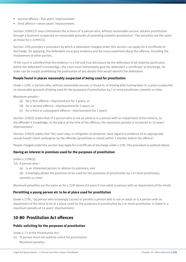- second offence—five years' imprisonment
- third offence—seven years' imprisonment.

Section 229HC(2) also criminalises the actions of 'a person who, without reasonable excuse, obtains prostitution through a business suspected on reasonable grounds of providing unlawful prostitution'. The penalties are the same as those for s 229HC(1).

Section 229J provides a procedure by which a defendant charged under this section can apply for a certificate of discharge. On applying, the defendant must give evidence and be cross-examined about the offence, including the involvement of other parties.

'If the court is satisfied that the evidence is a full and true disclosure by the defendant of all material particulars within the defendant's knowledge…the court must immediately give the defendant a certificate' of discharge. An order can be sought prohibiting the publication of any details that would identify the defendant.

#### **People found in places reasonably suspected of being used for prostitution**

Under s 229I, a 'person who, without reasonable excuse, is found in, or leaving after having been in, a place suspected on reasonable grounds of being used for the purposes of prostitution by 2 or more prostitutes commits a crime.

Maximum penalty—

- (a) for a first offence—imprisonment for 3 years; or
- (b) for a second offence—imprisonment for 5 years; or
- (c) for a third or subsequent offence—imprisonment for 7 years'.

Section 229I(2) states that 'if a person who is not an adult or is a person with an impairment of the mind is, to the offender's knowledge, in the place at the time of the offence, the maximum penalty is increased to 14 years' imprisonment'.

Section 229I(3) states that 'the court may, in mitigation of sentence, have regard to evidence of an appropriate sexual health check undergone by the offender [prostitute or client] within 3 months before the offence'.

People charged under this section may apply for a certificate of discharge under s 229J. This procedure is outlined above.

#### **Having an interest in premises used for the purposes of prostitution**

 $Under s 229K(2):$ 

- '(2) A person who—
	- (a) is an interested person in relation to premises; and
	- (b) knowingly allows the premises to be used for the purposes of prostitution by 2 or more prostitutes; commits a crime'.

Maximum penalties are the same as for s 229I above (14 years if non-adult or person with an impairment of the mind).

#### **Permitting a young person etc to be at place used for prostitution**

Under s 229L, '[a] person who knowingly causes or permits a person who is not an adult or is a person with an impairment of the mind to be at a place used for the purposes of prostitution by 2 or more prostitutes' is liable to a maximum penalty of 14 years' imprisonment.

#### **10-80 Prostitution Act offences**

#### **Public soliciting for the purposes of prostitution**

Under s 73 of the Prostitution Act:

(1) 'A person must not publicly solicit for prostitution. Maximum penalty—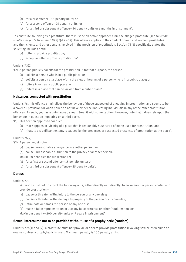- (a) for a first offence—15 penalty units; or
- (b) for a second offence—25 penalty units; or
- (c) for a third or subsequent offence—30 penalty units or 6 months imprisonment'.

To constitute soliciting by a prostitute, there must be an active approach from the alleged prostitute (see *Newman v Paties; ex parte Newman* [1979] Qd R 402). This offence applies to the conduct or men and women, prostitutes and their clients and other persons involved in the provision of prostitution. Section 73(4) specifically states that soliciting includes both:

- (a) 'offer to provide prostitution;
- (b) accept an offer to provide prostitution'.

#### Under s 73(2):

'(2) A person publicly solicits for the prostitution if, for that purpose, the person—

- (a) solicits a person who is in a public place; or
- (b) solicits a person at a place within the view or hearing of a person who is in a public place; or
- (c) loiters in or near a public place; or
- (d) loiters in a place that can be viewed from a public place'.

#### **Nuisances connected with prostitution**

Under s 76, this offence criminalises the behaviour of those suspected of engaging in prostitution and seems to be a cover-all provision for when police do not have evidence implicating individuals in any of the other prostitution offences. As such, you, as a duty lawyer, should treat it with some caution. However, note that it does rely upon the behaviour in question impacting on a third party.

- '(1) This section applies to conduct—
	- (a) that happens in 'vicinity of a place that is reasonably suspected of being used for prostitution; and
	- (b) that, to a significant extent, is caused by the presence, or suspected presence, of prostitution at the place'.

Under s 76(2):

'(2) A person must not—

- (a) cause unreasonable annoyance to another person; or
- (b) cause unreasonable disruption to the privacy of another person.

Maximum penalties for subsection (2)—

- (a) for a first or second offence—15 penalty units; or
- (b) for a third or subsequent offence—25 penalty units'.

#### **Duress**

Under s 77:

'A person must not do any of the following acts, either directly or indirectly, to make another person continue to provide prostitution—

- (a) cause or threaten wilful injury to the person or any one else;
- (b) cause or threaten wilful damage to property of the person or any one else;
- (c) intimidate or harass the person or any one else;
- (d) make a false representation or use any false pretence or other fraudulent means.

Maximum penalty—200 penalty units or 7 years imprisonment'.

#### **Sexual intercourse not to be provided without use of a prophylactic (condom)**

Under s 77A(1) and (2), a prostitute must not provide or offer to provide prostitution involving sexual intercourse or oral sex unless a prophylactic is used. Maximum penalty is 100 penalty units.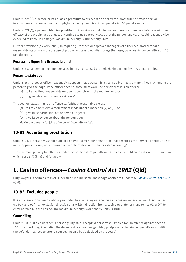Under s 77A(3), a person must not ask a prostitute to or accept an offer from a prostitute to provide sexual intercourse or oral sex without a prophylactic being used. Maximum penalty is 100 penalty units.

Under s 77A(4), a person obtaining prostitution involving sexual intercourse or oral sex must not interfere with the efficacy of the prophylactic or use, or continue to use a prophylactic that the person knows, or could reasonably be expected to know, is damaged. Maximum penalty is 100 penalty units.

Further provisions (s 77A(5) and (6)), requiring licensees or approved managers of a licensed brothel to take reasonable steps to ensure the use of prophylactics and not discourage their use, carry maximum penalties of 120 penalty units.

#### **Possessing liquor in a licensed brothel**

Under s 83, '[a] person must not possess liquor at a licensed brothel. Maximum penalty—40 penalty units'.

#### **Person to state age**

Under s 85, if a police officer reasonably suspects that a person in a licensed brothel is a minor, they may require the person to give their age. If the officer does so, they 'must warn the person that it is an offence—

- (a) to fail, without reasonable excuse, to comply with the requirement; or
- (b) to give false particulars or evidence'.

This section states that is an offence to, 'without reasonable excuse—

- (a) fail to comply with a requirement made under subsection (2) or (3); or
- (b) give false particulars of the person's age; or
- (c) give false evidence about the person's age.

Maximum penalty for [this offence]—20 penalty units'.

#### **10-81 Advertising prostitution**

Under s 93, a 'person must not publish an advertisement for prostitution that describes the services offered', 'is not in the approved form', or is 'through radio or television or by film or video recording'.

The maximum penalty for offences under this section is 70 penalty units unless the publication is via the internet, in which case s 93(3)(a) and (b) apply.

# **L. Casino offences—***Casino Control Act 1982* **(Qld)**

Duty lawyers in certain areas of Queensland require some knowledge of offences under the *[Casino Control Act 1982](http://www.legislation.qld.gov.au/LEGISLTN/CURRENT/C/CasinoConA82.pdf)* (Qld).

#### **10-82 Excluded people**

It is an offence for a person who is prohibited from entering or remaining in a casino under a self-exclusion order (ss 91N and 91A), an exclusion direction or a written direction from a casino operator or manager (ss 92 or 94) to enter or remain in the casino. The maximum penalty is 40 penalty units (s 100).

#### **Counselling**

Under s 100A, if a court 'finds a person guilty of, or accepts a person's guilty plea for, an offence against section 100…the court may, if satisfied the defendant is a problem gambler, postpone its decision on penalty on condition the defendant agrees to attend counselling on a basis decided by the court'.